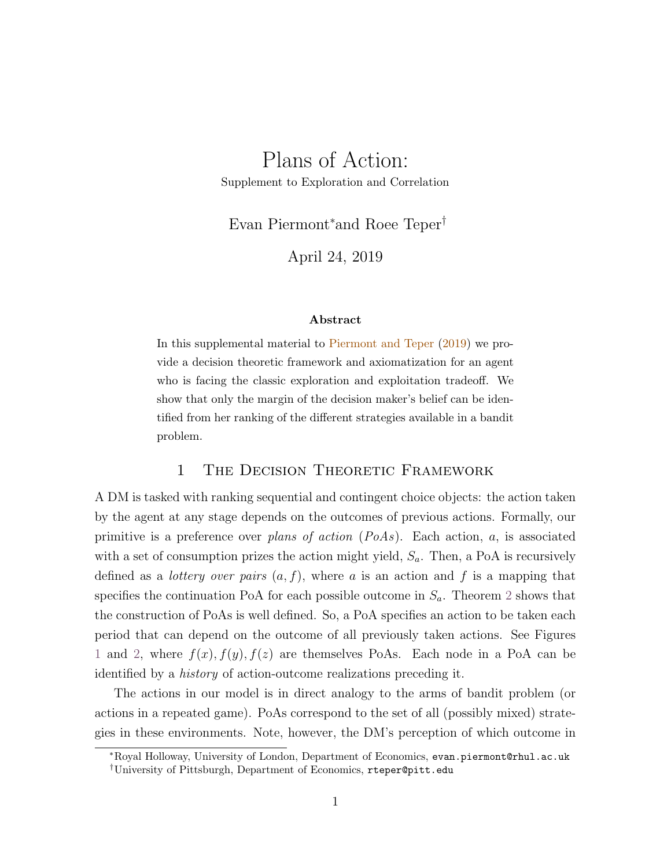# Plans of Action:

Supplement to Exploration and Correlation

Evan Piermont<sup>∗</sup>and Roee Teper†

April 24, 2019

#### Abstract

In this supplemental material to [Piermont and Teper](#page-22-0) [\(2019\)](#page-22-0) we provide a decision theoretic framework and axiomatization for an agent who is facing the classic exploration and exploitation tradeoff. We show that only the margin of the decision maker's belief can be identified from her ranking of the different strategies available in a bandit problem.

# 1 The Decision Theoretic Framework

A DM is tasked with ranking sequential and contingent choice objects: the action taken by the agent at any stage depends on the outcomes of previous actions. Formally, our primitive is a preference over *plans of action*  $(PoAs)$ . Each action, a, is associated with a set of consumption prizes the action might yield,  $S_a$ . Then, a PoA is recursively defined as a *lottery over pairs*  $(a, f)$ , where a is an action and f is a mapping that specifies the continuation PoA for each possible outcome in  $S_a$ . Theorem [2](#page-3-0) shows that the construction of PoAs is well defined. So, a PoA specifies an action to be taken each period that can depend on the outcome of all previously taken actions. See Figures [1](#page-1-0) and [2,](#page-1-0) where  $f(x)$ ,  $f(y)$ ,  $f(z)$  are themselves PoAs. Each node in a PoA can be identified by a history of action-outcome realizations preceding it.

The actions in our model is in direct analogy to the arms of bandit problem (or actions in a repeated game). PoAs correspond to the set of all (possibly mixed) strategies in these environments. Note, however, the DM's perception of which outcome in

<sup>∗</sup>Royal Holloway, University of London, Department of Economics, evan.piermont@rhul.ac.uk †University of Pittsburgh, Department of Economics, rteper@pitt.edu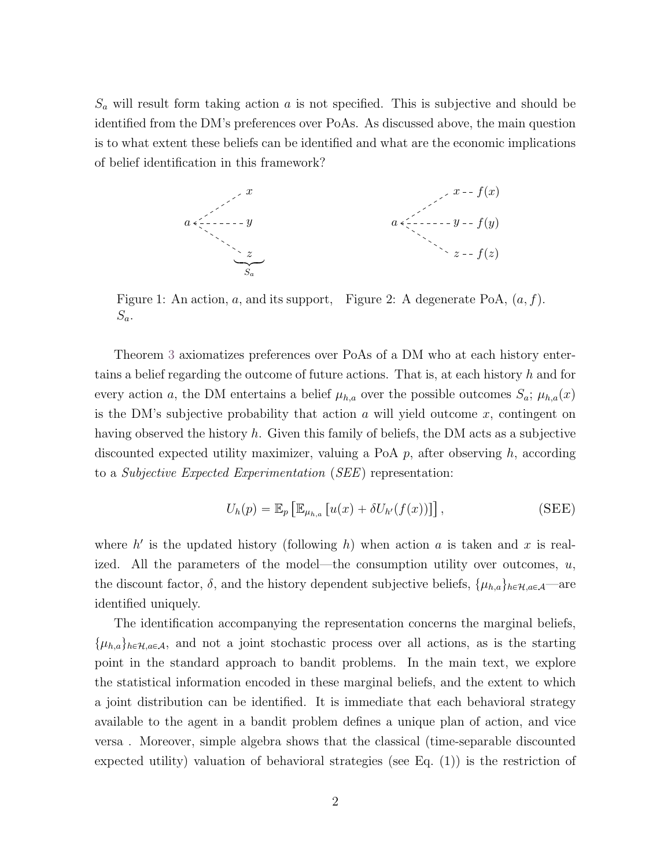$S_a$  will result form taking action  $a$  is not specified. This is subjective and should be identified from the DM's preferences over PoAs. As discussed above, the main question is to what extent these beliefs can be identified and what are the economic implications of belief identification in this framework?

<span id="page-1-0"></span>

Figure 1: An action, a, and its support, Figure 2: A degenerate PoA,  $(a, f)$ .  $S_a$ .

Theorem [3](#page-8-0) axiomatizes preferences over PoAs of a DM who at each history entertains a belief regarding the outcome of future actions. That is, at each history h and for every action a, the DM entertains a belief  $\mu_{h,a}$  over the possible outcomes  $S_a$ ;  $\mu_{h,a}(x)$ is the DM's subjective probability that action  $\alpha$  will yield outcome  $x$ , contingent on having observed the history h. Given this family of beliefs, the DM acts as a subjective discounted expected utility maximizer, valuing a PoA  $p$ , after observing  $h$ , according to a Subjective Expected Experimentation (SEE) representation:

<span id="page-1-1"></span>
$$
U_h(p) = \mathbb{E}_p \left[ \mathbb{E}_{\mu_{h,a}} \left[ u(x) + \delta U_{h'}(f(x)) \right] \right],
$$
 (SEE)

where  $h'$  is the updated history (following h) when action a is taken and x is realized. All the parameters of the model—the consumption utility over outcomes,  $u$ , the discount factor,  $\delta$ , and the history dependent subjective beliefs,  $\{\mu_{h,a}\}_{h\in\mathcal{H},a\in\mathcal{A}}$ —are identified uniquely.

The identification accompanying the representation concerns the marginal beliefs,  $\{\mu_{h,a}\}_{h\in\mathcal{H},a\in\mathcal{A}}$ , and not a joint stochastic process over all actions, as is the starting point in the standard approach to bandit problems. In the main text, we explore the statistical information encoded in these marginal beliefs, and the extent to which a joint distribution can be identified. It is immediate that each behavioral strategy available to the agent in a bandit problem defines a unique plan of action, and vice versa . Moreover, simple algebra shows that the classical (time-separable discounted expected utility) valuation of behavioral strategies (see Eq. (1)) is the restriction of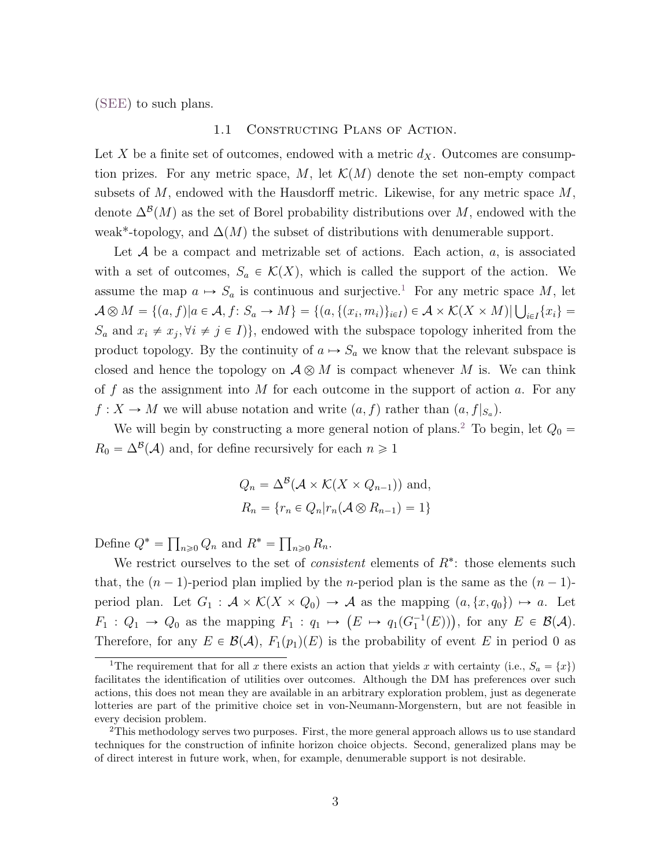([SEE](#page-1-1)) to such plans.

### 1.1 Constructing Plans of Action.

Let X be a finite set of outcomes, endowed with a metric  $d_X$ . Outcomes are consumption prizes. For any metric space, M, let  $\mathcal{K}(M)$  denote the set non-empty compact subsets of  $M$ , endowed with the Hausdorff metric. Likewise, for any metric space  $M$ , denote  $\Delta^{B}(M)$  as the set of Borel probability distributions over M, endowed with the weak\*-topology, and  $\Delta(M)$  the subset of distributions with denumerable support.

Let  $A$  be a compact and metrizable set of actions. Each action,  $a$ , is associated with a set of outcomes,  $S_a \in \mathcal{K}(X)$ , which is called the support of the action. We assume the map  $a \mapsto S_a$  is continuous and surjective.<sup>[1](#page-2-0)</sup> For any metric space M, let A  $\otimes M = \{(a, f) | a \in \mathcal{A}, f: S_a \to M\} = \{(a, \{(x_i, m_i)\}_{i \in I}) \in \mathcal{A} \times \mathcal{K}(X \times M) | \bigcup_{i \in I} \{x_i\} =$  $S_a$  and  $x_i \neq x_j, \forall i \neq j \in I$ , endowed with the subspace topology inherited from the product topology. By the continuity of  $a \mapsto S_a$  we know that the relevant subspace is closed and hence the topology on  $A \otimes M$  is compact whenever M is. We can think of f as the assignment into M for each outcome in the support of action  $a$ . For any  $f: X \to M$  we will abuse notation and write  $(a, f)$  rather than  $(a, f|_{S_a})$ .

We will begin by constructing a more general notion of plans.<sup>[2](#page-2-1)</sup> To begin, let  $Q_0 =$  $R_0 = \Delta^{\mathcal{B}}(\mathcal{A})$  and, for define recursively for each  $n \geq 1$ 

$$
Q_n = \Delta^{\mathcal{B}}(\mathcal{A} \times \mathcal{K}(X \times Q_{n-1})) \text{ and,}
$$
  

$$
R_n = \{r_n \in Q_n | r_n(\mathcal{A} \otimes R_{n-1}) = 1\}
$$

Define  $Q^* =$  $_{n\geqslant 0}Q_n$  and  $R^* =$  $n\geqslant 0$   $R_n$ .

We restrict ourselves to the set of *consistent* elements of  $R^*$ : those elements such that, the  $(n-1)$ -period plan implied by the *n*-period plan is the same as the  $(n-1)$ period plan. Let  $G_1 : \mathcal{A} \times \mathcal{K}(X \times Q_0) \to \mathcal{A}$  as the mapping  $(a, \{x, q_0\}) \mapsto a$ . Let period pian. Let  $G_1 : \mathcal{A} \times \mathcal{K}(\mathcal{A} \times Q_0) \to \mathcal{A}$  as the mapping  $(a, \{x, q_0\}) \to a$ . Let  $F_1 : Q_1 \to Q_0$  as the mapping  $F_1 : q_1 \mapsto (E \mapsto q_1(G_1^{-1}(E)))$ , for any  $E \in \mathcal{B}(\mathcal{A})$ . Therefore, for any  $E \in \mathcal{B}(\mathcal{A}), F_1(p_1)(E)$  is the probability of event E in period 0 as

<span id="page-2-0"></span><sup>&</sup>lt;sup>1</sup>The requirement that for all x there exists an action that yields x with certainty (i.e.,  $S_a = \{x\}$ ) facilitates the identification of utilities over outcomes. Although the DM has preferences over such actions, this does not mean they are available in an arbitrary exploration problem, just as degenerate lotteries are part of the primitive choice set in von-Neumann-Morgenstern, but are not feasible in every decision problem.

<span id="page-2-1"></span><sup>2</sup>This methodology serves two purposes. First, the more general approach allows us to use standard techniques for the construction of infinite horizon choice objects. Second, generalized plans may be of direct interest in future work, when, for example, denumerable support is not desirable.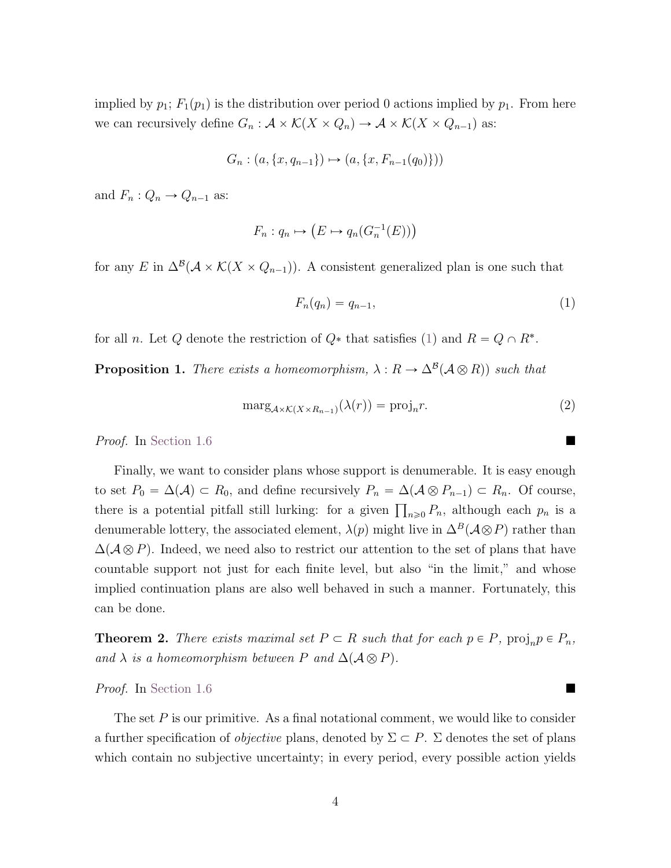implied by  $p_1$ ;  $F_1(p_1)$  is the distribution over period 0 actions implied by  $p_1$ . From here we can recursively define  $G_n : \mathcal{A} \times \mathcal{K}(X \times Q_n) \to \mathcal{A} \times \mathcal{K}(X \times Q_{n-1})$  as:

$$
G_n : (a, \{x, q_{n-1}\}) \mapsto (a, \{x, F_{n-1}(q_0)\}))
$$

and  $F_n: Q_n \to Q_{n-1}$  as:

$$
F_n: q_n \mapsto \left( E \mapsto q_n(G_n^{-1}(E)) \right)
$$

for any E in  $\Delta^{\mathcal{B}}(\mathcal{A}\times\mathcal{K}(X\times Q_{n-1}))$ . A consistent generalized plan is one such that

<span id="page-3-1"></span>
$$
F_n(q_n) = q_{n-1},\tag{1}
$$

for all *n*. Let Q denote the restriction of  $Q^*$  that satisfies [\(1\)](#page-3-1) and  $R = Q \cap R^*$ .

<span id="page-3-2"></span>**Proposition 1.** There exists a homeomorphism,  $\lambda : R \to \Delta^{\mathcal{B}}(\mathcal{A} \otimes R)$  such that

$$
\text{marg}_{\mathcal{A}\times\mathcal{K}(X\times R_{n-1})}(\lambda(r)) = \text{proj}_n r. \tag{2}
$$

Proof. In [Section](#page-14-0) [1.6](#page-12-0)

Finally, we want to consider plans whose support is denumerable. It is easy enough to set  $P_0 = \Delta(\mathcal{A}) \subset R_0$ , and define recursively  $P_n = \Delta(\mathcal{A} \otimes P_{n-1}) \subset R_n$ . Of course, to set  $T_0 = \Delta(\mathcal{A}) \subseteq R_0$ , and define recursively  $T_n = \Delta(\mathcal{A} \otimes T_{n-1}) \subseteq R_n$ . Of course,<br>there is a potential pitfall still lurking: for a given  $\prod_{n\geq 0} P_n$ , although each  $p_n$  is a denumerable lottery, the associated element,  $\lambda(p)$  might live in  $\Delta^{B}(\mathcal{A}\otimes P)$  rather than  $\Delta(\mathcal{A}\otimes P)$ . Indeed, we need also to restrict our attention to the set of plans that have countable support not just for each finite level, but also "in the limit," and whose implied continuation plans are also well behaved in such a manner. Fortunately, this can be done.

<span id="page-3-0"></span>**Theorem 2.** There exists maximal set  $P \subset R$  such that for each  $p \in P$ ,  $\text{proj}_n p \in P_n$ , and  $\lambda$  is a homeomorphism between P and  $\Delta(A \otimes P)$ .

#### Proof. In [Section](#page-14-1) [1.6](#page-12-0)

The set  $P$  is our primitive. As a final notational comment, we would like to consider a further specification of *objective* plans, denoted by  $\Sigma \subset P$ .  $\Sigma$  denotes the set of plans which contain no subjective uncertainty; in every period, every possible action yields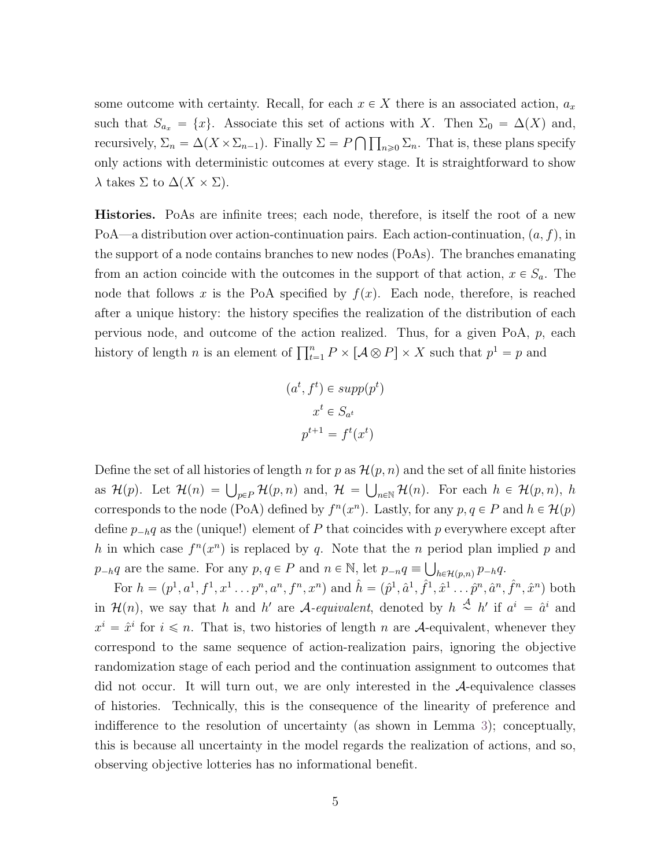some outcome with certainty. Recall, for each  $x \in X$  there is an associated action,  $a_x$ such that  $S_{a_x} = \{x\}$ . Associate this set of actions with X. Then  $\Sigma_0 = \Delta(X)$  and, recursively,  $\Sigma_n = \Delta(X \times \Sigma_{n-1})$ . Finally  $\Sigma = P \bigcap \prod_{n \geq 0} \Sigma_n$ . That is, these plans specify only actions with deterministic outcomes at every stage. It is straightforward to show  $\lambda$  takes  $\Sigma$  to  $\Delta(X \times \Sigma)$ .

Histories. PoAs are infinite trees; each node, therefore, is itself the root of a new PoA—a distribution over action-continuation pairs. Each action-continuation,  $(a, f)$ , in the support of a node contains branches to new nodes (PoAs). The branches emanating from an action coincide with the outcomes in the support of that action,  $x \in S_a$ . The node that follows x is the PoA specified by  $f(x)$ . Each node, therefore, is reached after a unique history: the history specifies the realization of the distribution of each pervious node, and outcome of the action realized. Thus, for a given PoA, p, each bety lous house, and outcome of the action realized. Thus, for a given  $\Gamma$  ox,  $p$ , history of length n is an element of  $\prod_{t=1}^{n} P \times [A \otimes P] \times X$  such that  $p^{1} = p$  and

$$
(at, ft) \in supp(pt)
$$

$$
xt \in Sat
$$

$$
pt+1 = ft(xt)
$$

Define the set of all histories of length n for p as  $\mathcal{H}(p, n)$  and the set of all finite histories being the set of an instance of length *n* for *p* as  $h(p, n)$  and the set of an inner instance<br>as  $\mathcal{H}(p)$ . Let  $\mathcal{H}(n) = \bigcup_{p \in P} \mathcal{H}(p, n)$  and,  $\mathcal{H} = \bigcup_{n \in \mathbb{N}} \mathcal{H}(n)$ . For each  $h \in \mathcal{H}(p, n)$ , h corresponds to the node (PoA) defined by  $f^{n}(x^{n})$ . Lastly, for any  $p, q \in P$  and  $h \in H(p)$ define  $p_{-h}q$  as the (unique!) element of P that coincides with p everywhere except after h in which case  $f^{n}(x^{n})$  is replaced by q. Note that the n period plan implied p and  $p_{-h}q$  are the same. For any  $p, q \in P$  and  $n \in \mathbb{N}$ , let  $p_{-n}q \equiv \bigcup_{h \in \mathcal{H}(p,n)} p_{-h}q$ .

For  $h = (p^1, a^1, f^1, x^1 \dots p^n, a^n, f^n, x^n)$  and  $\hat{h} = (\hat{p}^1, \hat{a}^1, \hat{f}^1, \hat{x}^1 \dots \hat{p}^n, \hat{a}^n, \hat{f}^n, \hat{x}^n)$  both in  $\mathcal{H}(n)$ , we say that h and h' are A-equivalent, denoted by  $h \stackrel{\mathcal{A}}{\sim} h'$  if  $a^i = \hat{a}^i$  and  $x^i = \hat{x}^i$  for  $i \leq n$ . That is, two histories of length n are A-equivalent, whenever they correspond to the same sequence of action-realization pairs, ignoring the objective randomization stage of each period and the continuation assignment to outcomes that did not occur. It will turn out, we are only interested in the A-equivalence classes of histories. Technically, this is the consequence of the linearity of preference and indifference to the resolution of uncertainty (as shown in Lemma [3\)](#page-15-0); conceptually, this is because all uncertainty in the model regards the realization of actions, and so, observing objective lotteries has no informational benefit.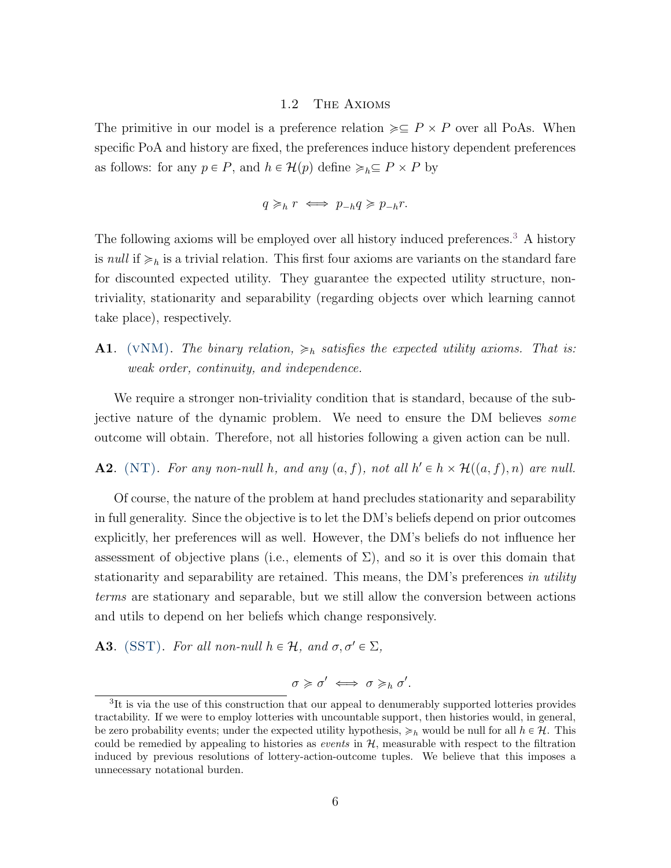## 1.2 The Axioms

The primitive in our model is a preference relation  $\geq \subseteq P \times P$  over all PoAs. When specific PoA and history are fixed, the preferences induce history dependent preferences as follows: for any  $p \in P$ , and  $h \in \mathcal{H}(p)$  define  $\geq_h \subseteq P \times P$  by

$$
q \geqslant_h r \iff p_{-h}q \geqslant p_{-h}r.
$$

The following axioms will be employed over all history induced preferences.<sup>[3](#page-5-0)</sup> A history is *null* if  $\geq_h$  is a trivial relation. This first four axioms are variants on the standard fare for discounted expected utility. They guarantee the expected utility structure, nontriviality, stationarity and separability (regarding objects over which learning cannot take place), respectively.

<span id="page-5-1"></span>**A1.** (VNM). The binary relation,  $\geq_h$  satisfies the expected utility axioms. That is: weak order, continuity, and independence.

We require a stronger non-triviality condition that is standard, because of the subjective nature of the dynamic problem. We need to ensure the DM believes *some* outcome will obtain. Therefore, not all histories following a given action can be null.

<span id="page-5-2"></span>**A2.** (NT). For any non-null h, and any  $(a, f)$ , not all  $h' \in h \times H((a, f), n)$  are null.

Of course, the nature of the problem at hand precludes stationarity and separability in full generality. Since the objective is to let the DM's beliefs depend on prior outcomes explicitly, her preferences will as well. However, the DM's beliefs do not influence her assessment of objective plans (i.e., elements of  $\Sigma$ ), and so it is over this domain that stationarity and separability are retained. This means, the DM's preferences in utility terms are stationary and separable, but we still allow the conversion between actions and utils to depend on her beliefs which change responsively.

<span id="page-5-3"></span>**A3.** (SST). For all non-null  $h \in \mathcal{H}$ , and  $\sigma, \sigma' \in \Sigma$ ,

$$
\sigma \geqslant \sigma' \iff \sigma \geqslant_h \sigma'.
$$

<span id="page-5-0"></span><sup>&</sup>lt;sup>3</sup>It is via the use of this construction that our appeal to denumerably supported lotteries provides tractability. If we were to employ lotteries with uncountable support, then histories would, in general, be zero probability events; under the expected utility hypothesis,  $\geq_h$  would be null for all  $h \in \mathcal{H}$ . This could be remedied by appealing to histories as *events* in  $H$ , measurable with respect to the filtration induced by previous resolutions of lottery-action-outcome tuples. We believe that this imposes a unnecessary notational burden.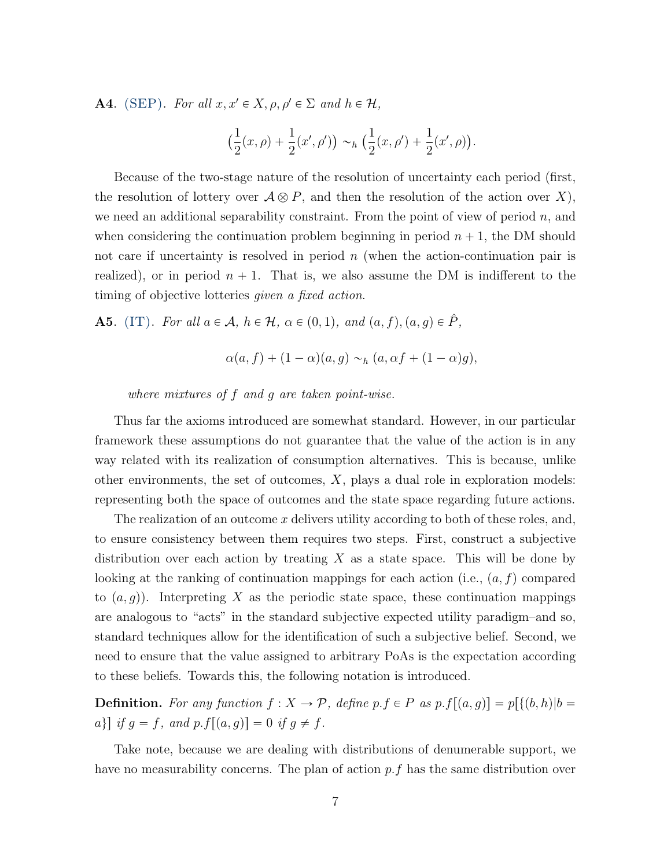<span id="page-6-0"></span>**A4.** (SEP). For all  $x, x' \in X$ ,  $\rho, \rho' \in \Sigma$  and  $h \in \mathcal{H}$ ,

$$
\big(\frac{1}{2}(x,\rho)+\frac{1}{2}(x',\rho')\big)\sim_h \big(\frac{1}{2}(x,\rho')+\frac{1}{2}(x',\rho)\big).
$$

Because of the two-stage nature of the resolution of uncertainty each period (first, the resolution of lottery over  $A \otimes P$ , and then the resolution of the action over X), we need an additional separability constraint. From the point of view of period  $n$ , and when considering the continuation problem beginning in period  $n + 1$ , the DM should not care if uncertainty is resolved in period  $n$  (when the action-continuation pair is realized), or in period  $n + 1$ . That is, we also assume the DM is indifferent to the timing of objective lotteries given a fixed action.

<span id="page-6-1"></span>**A5.** (IT). For all  $a \in \mathcal{A}$ ,  $h \in \mathcal{H}$ ,  $\alpha \in (0, 1)$ , and  $(a, f), (a, g) \in \hat{P}$ ,

$$
\alpha(a,f) + (1-\alpha)(a,g) \sim_h (a,\alpha f + (1-\alpha)g),
$$

where mixtures of f and g are taken point-wise.

Thus far the axioms introduced are somewhat standard. However, in our particular framework these assumptions do not guarantee that the value of the action is in any way related with its realization of consumption alternatives. This is because, unlike other environments, the set of outcomes,  $X$ , plays a dual role in exploration models: representing both the space of outcomes and the state space regarding future actions.

The realization of an outcome x delivers utility according to both of these roles, and, to ensure consistency between them requires two steps. First, construct a subjective distribution over each action by treating  $X$  as a state space. This will be done by looking at the ranking of continuation mappings for each action (i.e.,  $(a, f)$  compared to  $(a, g)$ . Interpreting X as the periodic state space, these continuation mappings are analogous to "acts" in the standard subjective expected utility paradigm–and so, standard techniques allow for the identification of such a subjective belief. Second, we need to ensure that the value assigned to arbitrary PoAs is the expectation according to these beliefs. Towards this, the following notation is introduced.

**Definition.** For any function  $f : X \to \mathcal{P}$ , define  $p.f \in P$  as  $p.f[(a, g)] = p[{(b, h)|b =$ a} if  $g = f$ , and  $p.f[(a, g)] = 0$  if  $g \neq f$ .

Take note, because we are dealing with distributions of denumerable support, we have no measurability concerns. The plan of action p.f has the same distribution over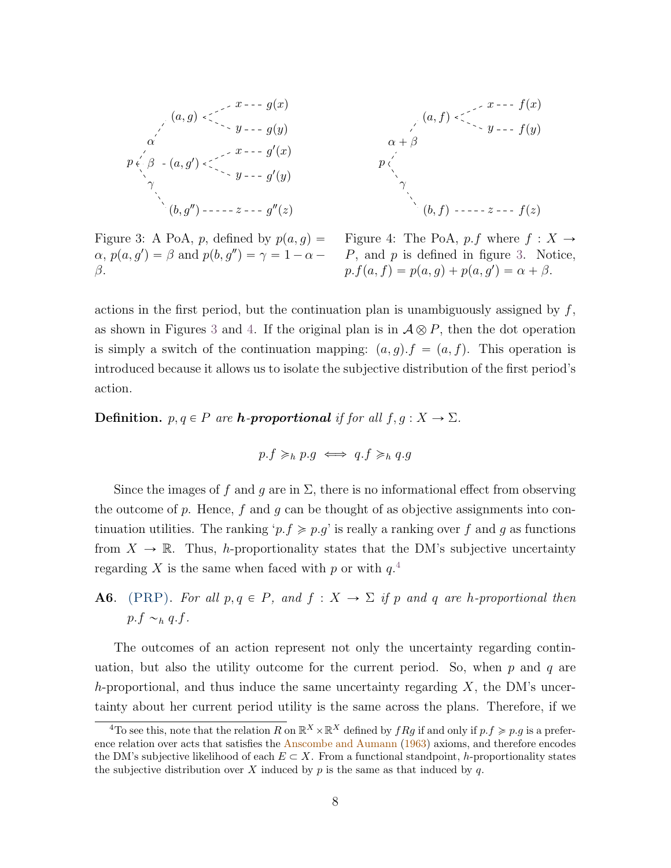<span id="page-7-0"></span>p pa, gq pa, g<sup>1</sup> q pb, g<sup>2</sup> q α β γ x y gpxq gpyq x y g 1 pxq g 1 pyq z g 2 pzq p pa, fq pb, fq α ` β γ x y fpxq fpyq z fpzq

 $\alpha$ ,  $p(a, g') = \beta$  and  $p(b, g'') = \gamma = 1 - \alpha - \beta$  $\beta$ .

Figure 3: A PoA, p, defined by  $p(a, g) =$  Figure 4: The PoA, p.f where  $f : X \to$  $\widetilde{P}$ , and  $p$  is defined in figure [3.](#page-7-0) Notice,  $p.f(a, f) = p(a, g) + p(a, g') = \alpha + \beta.$ 

actions in the first period, but the continuation plan is unambiguously assigned by  $f$ , as shown in Figures [3](#page-7-0) and [4.](#page-7-0) If the original plan is in  $A \otimes P$ , then the dot operation is simply a switch of the continuation mapping:  $(a, g) \cdot f = (a, f)$ . This operation is introduced because it allows us to isolate the subjective distribution of the first period's action.

**Definition.**  $p, q \in P$  are **h**-proportional if for all  $f, g: X \to \Sigma$ .

$$
p.f \geq_h p.g \iff q.f \geq_h q.g
$$

Since the images of f and g are in  $\Sigma$ , there is no informational effect from observing the outcome of p. Hence, f and g can be thought of as objective assignments into continuation utilities. The ranking ' $p.f \geqslant p.g$ ' is really a ranking over f and g as functions from  $X \to \mathbb{R}$ . Thus, h-proportionality states that the DM's subjective uncertainty regarding X is the same when faced with p or with  $q^{4}$  $q^{4}$  $q^{4}$ .

<span id="page-7-2"></span>**A6.** (PRP). For all  $p, q \in P$ , and  $f : X \to \Sigma$  if p and q are h-proportional then  $p.f \sim_h q.f.$ 

The outcomes of an action represent not only the uncertainty regarding continuation, but also the utility outcome for the current period. So, when  $p$  and  $q$  are h-proportional, and thus induce the same uncertainty regarding  $X$ , the DM's uncertainty about her current period utility is the same across the plans. Therefore, if we

<span id="page-7-1"></span><sup>&</sup>lt;sup>4</sup>To see this, note that the relation R on  $\mathbb{R}^X \times \mathbb{R}^X$  defined by  $fRg$  if and only if  $p.f \geqslant p.g$  is a preference relation over acts that satisfies the [Anscombe and Aumann](#page-21-0) [\(1963\)](#page-21-0) axioms, and therefore encodes the DM's subjective likelihood of each  $E \subset X$ . From a functional standpoint, h-proportionality states the subjective distribution over X induced by  $p$  is the same as that induced by  $q$ .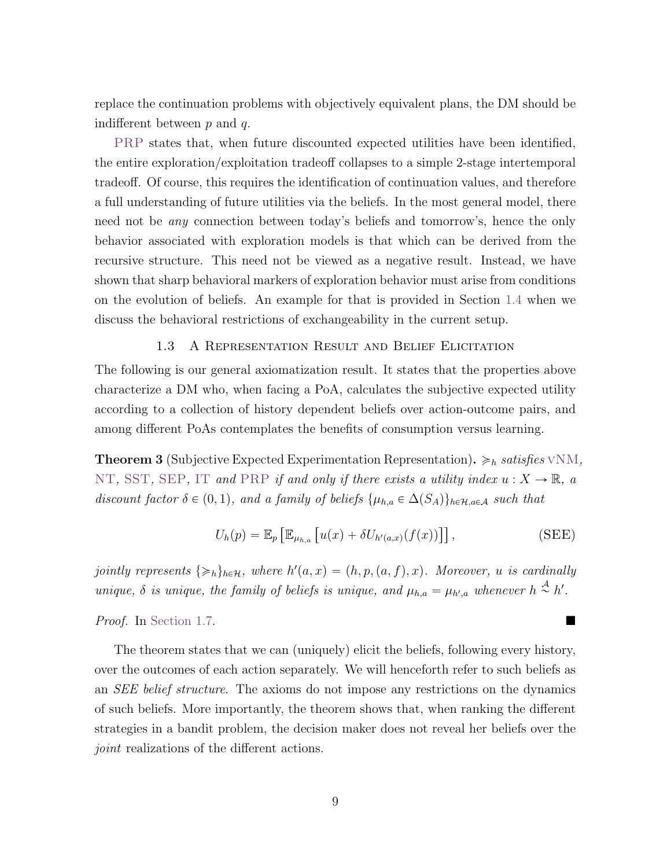replace the continuation problems with objectively equivalent plans, the DM should be indifferent between  $p$  and  $q$ .

[PRP](#page-7-2) states that, when future discounted expected utilities have been identified, the entire exploration/exploitation tradeoff collapses to a simple 2-stage intertemporal tradeoff. Of course, this requires the identification of continuation values, and therefore a full understanding of future utilities via the beliefs. In the most general model, there need not be any connection between today's beliefs and tomorrow's, hence the only behavior associated with exploration models is that which can be derived from the recursive structure. This need not be viewed as a negative result. Instead, we have shown that sharp behavioral markers of exploration behavior must arise from conditions on the evolution of beliefs. An example for that is provided in Section [1.4](#page-8-1) when we discuss the behavioral restrictions of exchangeability in the current setup.

#### 1.3 A Representation Result and Belief Elicitation

The following is our general axiomatization result. It states that the properties above characterize a DM who, when facing a PoA, calculates the subjective expected utility according to a collection of history dependent beliefs over action-outcome pairs, and among different PoAs contemplates the benefits of consumption versus learning.

<span id="page-8-0"></span>**Theorem 3** (Subjective Expected Experimentation Representation).  $\geq_h satisfies \text{vNM}$  $\geq_h satisfies \text{vNM}$  $\geq_h satisfies \text{vNM}$ , [NT](#page-5-2), [SST](#page-5-3), [SEP](#page-6-0), [IT](#page-6-1) and [PRP](#page-7-2) if and only if there exists a utility index  $u : X \to \mathbb{R}$ , a discount factor  $\delta \in (0, 1)$ , and a family of beliefs  $\{\mu_{h,a} \in \Delta(S_A)\}_{h \in \mathcal{H},a \in \mathcal{A}}$  such that

<span id="page-8-2"></span>
$$
U_h(p) = \mathbb{E}_p \left[ \mathbb{E}_{\mu_{h,a}} \left[ u(x) + \delta U_{h'(a,x)}(f(x)) \right] \right],
$$
 (SEE)

jointly represents  $\{\geqslant_h\}_{h\in\mathcal{H}}$ , where  $h'(a, x) = (h, p, (a, f), x)$ . Moreover, u is cardinally unique,  $\delta$  is unique, the family of beliefs is unique, and  $\mu_{h,a} = \mu_{h',a}$  whenever  $h \stackrel{\mathcal{A}}{\sim} h'$ .

Proof. In [Section](#page-16-0) [1.7.](#page-14-2)

<span id="page-8-1"></span>The theorem states that we can (uniquely) elicit the beliefs, following every history, over the outcomes of each action separately. We will henceforth refer to such beliefs as an SEE belief structure. The axioms do not impose any restrictions on the dynamics of such beliefs. More importantly, the theorem shows that, when ranking the different strategies in a bandit problem, the decision maker does not reveal her beliefs over the joint realizations of the different actions.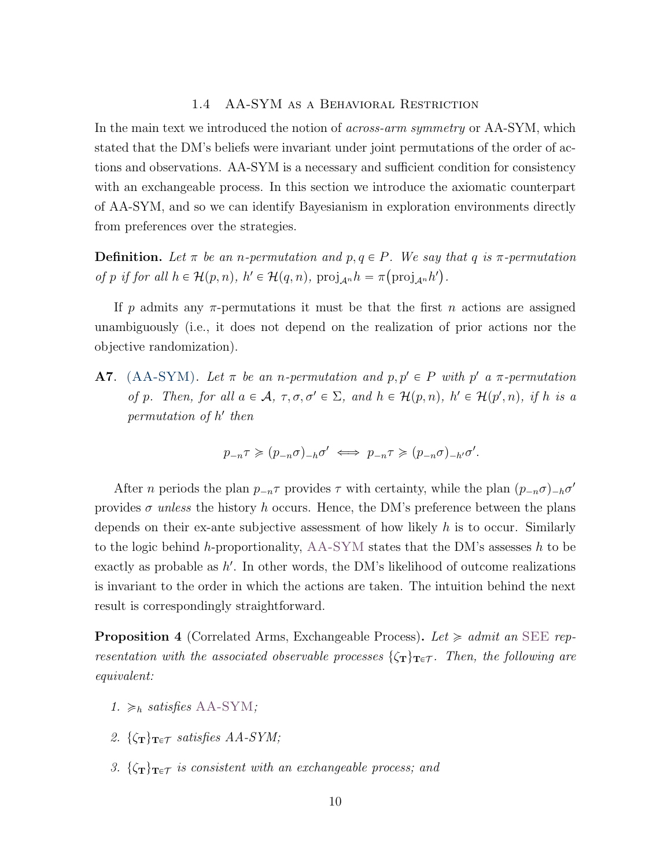#### 1.4 AA-SYM as a Behavioral Restriction

In the main text we introduced the notion of *across-arm symmetry* or AA-SYM, which stated that the DM's beliefs were invariant under joint permutations of the order of actions and observations. AA-SYM is a necessary and sufficient condition for consistency with an exchangeable process. In this section we introduce the axiomatic counterpart of AA-SYM, and so we can identify Bayesianism in exploration environments directly from preferences over the strategies.

**Definition.** Let  $\pi$  be an *n*-permutation and  $p, q \in P$ . We say that q is  $\pi$ -permutation of p if for all  $h \in \mathcal{H}(p,n)$ ,  $h' \in \mathcal{H}(q,n)$ ,  $\text{proj}_{\mathcal{A}^n} h = \pi(\text{proj}_{\mathcal{A}^n} h')$ .

If p admits any  $\pi$ -permutations it must be that the first n actions are assigned unambiguously (i.e., it does not depend on the realization of prior actions nor the objective randomization).

<span id="page-9-0"></span>**A7.** (AA-SYM). Let  $\pi$  be an n-permutation and  $p, p' \in P$  with  $p'$  a  $\pi$ -permutation of p. Then, for all  $a \in \mathcal{A}$ ,  $\tau, \sigma, \sigma' \in \Sigma$ , and  $h \in \mathcal{H}(p,n)$ ,  $h' \in \mathcal{H}(p',n)$ , if h is a permutation of h' then

$$
p_{-n}\tau \geqslant (p_{-n}\sigma)_{-h}\sigma' \iff p_{-n}\tau \geqslant (p_{-n}\sigma)_{-h'}\sigma'.
$$

After *n* periods the plan  $p_{-n} \tau$  provides  $\tau$  with certainty, while the plan  $(p_{-n} \sigma)_{-h} \sigma'$ provides  $\sigma$  unless the history h occurs. Hence, the DM's preference between the plans depends on their ex-ante subjective assessment of how likely  $h$  is to occur. Similarly to the logic behind h-proportionality,  $AA-SYM$  states that the DM's assesses h to be exactly as probable as  $h'$ . In other words, the DM's likelihood of outcome realizations is invariant to the order in which the actions are taken. The intuition behind the next result is correspondingly straightforward.

<span id="page-9-1"></span>**Proposition 4** (Correlated Arms, Exchangeable Process). Let  $\geq admit$  an [SEE](#page-8-2) representation with the associated observable processes  $\{\zeta_T\}_{T \in \mathcal{T}}$ . Then, the following are equivalent:

- 1.  $\geq_h$  satisfies [AA-SYM](#page-9-0);
- 2.  $\{\zeta_T\}_{T \in \mathcal{T}}$  satisfies AA-SYM;
- 3.  $\{\zeta_T\}_{T \in \mathcal{T}}$  is consistent with an exchangeable process; and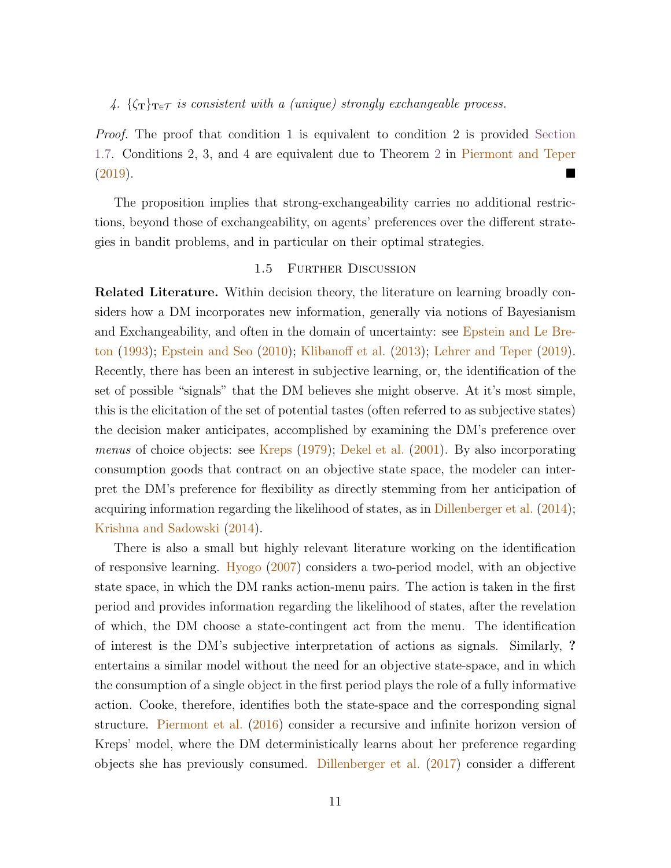# 4.  $\{\zeta_T\}_{T \in \mathcal{T}}$  is consistent with a (unique) strongly exchangeable process.

Proof. The proof that condition 1 is equivalent to condition 2 is provided [Section](#page-20-0) [1.7.](#page-20-0) Conditions 2, 3, and 4 are equivalent due to Theorem [2](#page-3-0) in [Piermont and Teper](#page-22-0) [\(2019\)](#page-22-0).

The proposition implies that strong-exchangeability carries no additional restrictions, beyond those of exchangeability, on agents' preferences over the different strategies in bandit problems, and in particular on their optimal strategies.

#### 1.5 Further Discussion

Related Literature. Within decision theory, the literature on learning broadly considers how a DM incorporates new information, generally via notions of Bayesianism and Exchangeability, and often in the domain of uncertainty: see [Epstein and Le Bre](#page-21-1)[ton](#page-21-1) [\(1993\)](#page-21-1); [Epstein and Seo](#page-21-2) [\(2010\)](#page-21-2); [Klibanoff et al.](#page-21-3) [\(2013\)](#page-21-3); [Lehrer and Teper](#page-22-1) [\(2019\)](#page-22-1). Recently, there has been an interest in subjective learning, or, the identification of the set of possible "signals" that the DM believes she might observe. At it's most simple, this is the elicitation of the set of potential tastes (often referred to as subjective states) the decision maker anticipates, accomplished by examining the DM's preference over menus of choice objects: see [Kreps](#page-21-4) [\(1979\)](#page-21-4); [Dekel et al.](#page-21-5) [\(2001\)](#page-21-5). By also incorporating consumption goods that contract on an objective state space, the modeler can interpret the DM's preference for flexibility as directly stemming from her anticipation of acquiring information regarding the likelihood of states, as in [Dillenberger et al.](#page-21-6) [\(2014\)](#page-21-6); [Krishna and Sadowski](#page-21-7) [\(2014\)](#page-21-7).

There is also a small but highly relevant literature working on the identification of responsive learning. [Hyogo](#page-21-8) [\(2007\)](#page-21-8) considers a two-period model, with an objective state space, in which the DM ranks action-menu pairs. The action is taken in the first period and provides information regarding the likelihood of states, after the revelation of which, the DM choose a state-contingent act from the menu. The identification of interest is the DM's subjective interpretation of actions as signals. Similarly, ? entertains a similar model without the need for an objective state-space, and in which the consumption of a single object in the first period plays the role of a fully informative action. Cooke, therefore, identifies both the state-space and the corresponding signal structure. [Piermont et al.](#page-22-2) [\(2016\)](#page-22-2) consider a recursive and infinite horizon version of Kreps' model, where the DM deterministically learns about her preference regarding objects she has previously consumed. [Dillenberger et al.](#page-21-9) [\(2017\)](#page-21-9) consider a different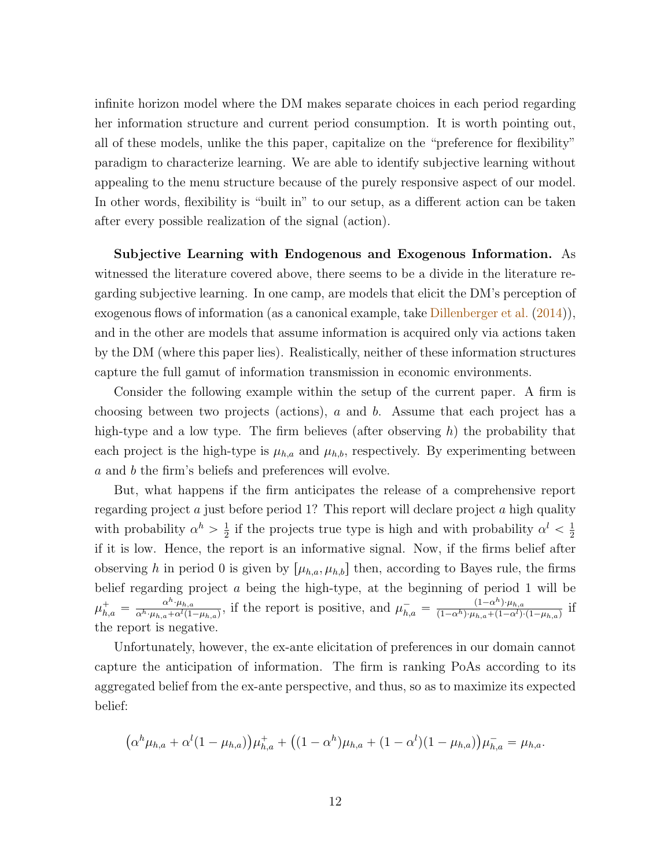infinite horizon model where the DM makes separate choices in each period regarding her information structure and current period consumption. It is worth pointing out, all of these models, unlike the this paper, capitalize on the "preference for flexibility" paradigm to characterize learning. We are able to identify subjective learning without appealing to the menu structure because of the purely responsive aspect of our model. In other words, flexibility is "built in" to our setup, as a different action can be taken after every possible realization of the signal (action).

Subjective Learning with Endogenous and Exogenous Information. As witnessed the literature covered above, there seems to be a divide in the literature regarding subjective learning. In one camp, are models that elicit the DM's perception of exogenous flows of information (as a canonical example, take [Dillenberger et al.](#page-21-6) [\(2014\)](#page-21-6)), and in the other are models that assume information is acquired only via actions taken by the DM (where this paper lies). Realistically, neither of these information structures capture the full gamut of information transmission in economic environments.

Consider the following example within the setup of the current paper. A firm is choosing between two projects (actions), a and b. Assume that each project has a high-type and a low type. The firm believes (after observing  $h$ ) the probability that each project is the high-type is  $\mu_{h,a}$  and  $\mu_{h,b}$ , respectively. By experimenting between a and b the firm's beliefs and preferences will evolve.

But, what happens if the firm anticipates the release of a comprehensive report regarding project a just before period 1? This report will declare project a high quality with probability  $\alpha^h > \frac{1}{2}$  $\frac{1}{2}$  if the projects true type is high and with probability  $\alpha^l < \frac{1}{2}$ 2 if it is low. Hence, the report is an informative signal. Now, if the firms belief after observing h in period 0 is given by  $[\mu_{h,a}, \mu_{h,b}]$  then, according to Bayes rule, the firms belief regarding project a being the high-type, at the beginning of period 1 will be  $\mu_{h,a}^+ = \frac{\alpha^h\cdot\mu_{h,a}}{\alpha^h\cdot\mu_{h,a}+\alpha^l(1)}$  $\frac{\alpha^h \cdot \mu_{h,a}}{\alpha^h \cdot \mu_{h,a} + \alpha^l (1-\mu_{h,a})}$ , if the report is positive, and  $\mu_{h,a}^- = \frac{(1-\alpha^h) \cdot \mu_{h,a}}{(1-\alpha^h) \cdot \mu_{h,a} + (1-\alpha^l)}$  $\frac{(1-\alpha^{\cdots})\cdot\mu_{h,a}}{(1-\alpha^h)\cdot\mu_{h,a}+(1-\alpha^l)\cdot(1-\mu_{h,a})}$  if the report is negative.

Unfortunately, however, the ex-ante elicitation of preferences in our domain cannot capture the anticipation of information. The firm is ranking PoAs according to its aggregated belief from the ex-ante perspective, and thus, so as to maximize its expected belief:

$$
(\alpha^h \mu_{h,a} + \alpha^l (1 - \mu_{h,a})) \mu_{h,a}^+ + ((1 - \alpha^h) \mu_{h,a} + (1 - \alpha^l)(1 - \mu_{h,a})) \mu_{h,a}^- = \mu_{h,a}.
$$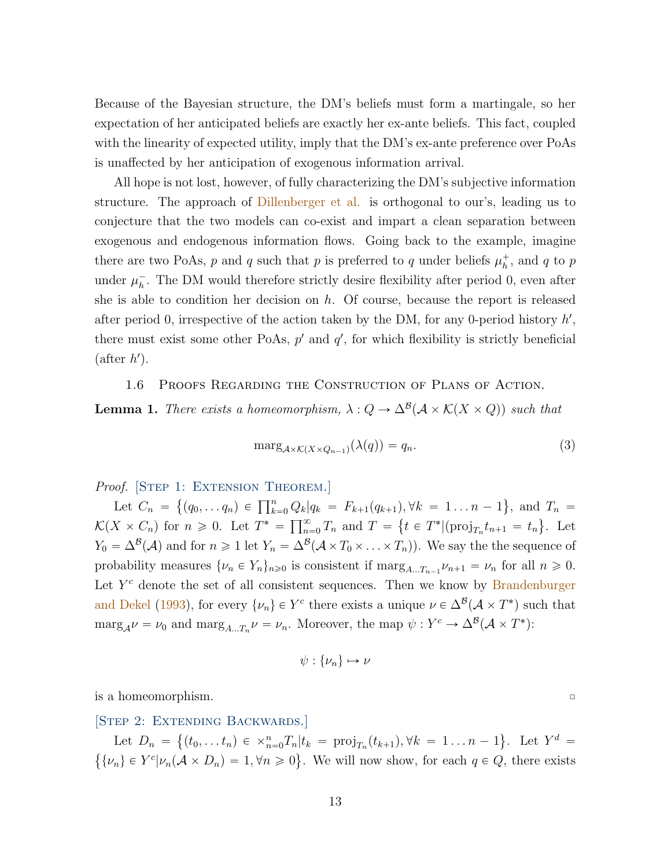Because of the Bayesian structure, the DM's beliefs must form a martingale, so her expectation of her anticipated beliefs are exactly her ex-ante beliefs. This fact, coupled with the linearity of expected utility, imply that the DM's ex-ante preference over PoAs is unaffected by her anticipation of exogenous information arrival.

All hope is not lost, however, of fully characterizing the DM's subjective information structure. The approach of [Dillenberger et al.](#page-21-6) is orthogonal to our's, leading us to conjecture that the two models can co-exist and impart a clean separation between exogenous and endogenous information flows. Going back to the example, imagine there are two PoAs, p and q such that p is preferred to q under beliefs  $\mu_h^+$ , and q to p under  $\mu_h^-$ . The DM would therefore strictly desire flexibility after period 0, even after she is able to condition her decision on  $h$ . Of course, because the report is released after period 0, irrespective of the action taken by the DM, for any 0-period history  $h'$ , there must exist some other PoAs,  $p'$  and  $q'$ , for which flexibility is strictly beneficial  $(\text{after } h').$ 

<span id="page-12-0"></span>1.6 Proofs Regarding the Construction of Plans of Action.

**Lemma 1.** There exists a homeomorphism,  $\lambda: Q \to \Delta^{\mathcal{B}}(\mathcal{A} \times \mathcal{K}(X \times Q))$  such that

$$
\text{marg}_{\mathcal{A}\times\mathcal{K}(X\times Q_{n-1})}(\lambda(q)) = q_n. \tag{3}
$$

Proof. [STEP 1: EXTENSION THEOREM.]

Let  $C_n = \{(q_0, \ldots q_n) \in \prod_{k=0}^n Q_k | q_k = F_{k+1}(q_{k+1}), \forall k = 1 \ldots n-1 \}$ (  $), \forall k = 1 \ldots n-1$ , and  $T_n =$ Let  $C_n = \{(q_0, \ldots q_n) \in \prod_{k=0}^{\infty} \mathbb{V}_k\}$ <br> $\mathcal{K}(X \times C_n)$  for  $n \geq 0$ . Let  $T^* = \prod_{n=1}^{\infty}$  $\sum_{n=0}^{\infty} T_n$  and  $T = \{ t \in T^* | (\text{proj}_{T_n} t_{n+1} = t_n \}$ . Let  $Y_0 = \Delta^{\mathcal{B}}(\mathcal{A})$  and for  $n \geq 1$  let  $Y_n = \Delta^{\mathcal{B}}(\mathcal{A} \times T_0 \times \ldots \times T_n)$ ). We say the the sequence of probability measures  $\{\nu_n \in Y_n\}_{n\geq 0}$  is consistent if  $\max_{A...T_{n-1}} \nu_{n+1} = \nu_n$  for all  $n \geq 0$ . Let  $Y<sup>c</sup>$  denote the set of all consistent sequences. Then we know by [Brandenburger](#page-21-10) [and Dekel](#page-21-10) [\(1993\)](#page-21-10), for every  $\{\nu_n\} \in Y^c$  there exists a unique  $\nu \in \Delta^{\mathcal{B}}(\mathcal{A} \times T^*)$  such that  $\text{marg}_{\mathcal{A}}\nu = \nu_0 \text{ and } \text{marg}_{A\ldots T_n}\nu = \nu_n.$  Moreover, the map  $\psi: Y^c \to \Delta^{\mathcal{B}}(\mathcal{A} \times T^*)$ :

$$
\psi: \{\nu_n\} \mapsto \nu
$$

<span id="page-12-1"></span> $\Box$  is a homeomorphism.  $\Box$ 

[STEP 2: EXTENDING BACKWARDS.] E.

Let  $D_n = \{(t_0, \ldots t_n) \in \times_{n=0}^n T_n | t_k = \text{proj}_{T_n}(t_{k+1}), \forall k = 1 \ldots n-1\}.$  Let  $Y^d =$ (  $\{\nu_n\} \in Y^c | \nu_n(\mathcal{A} \times D_n) = 1, \forall n \geq 0\}.$  We will now show, for each  $q \in Q$ , there exists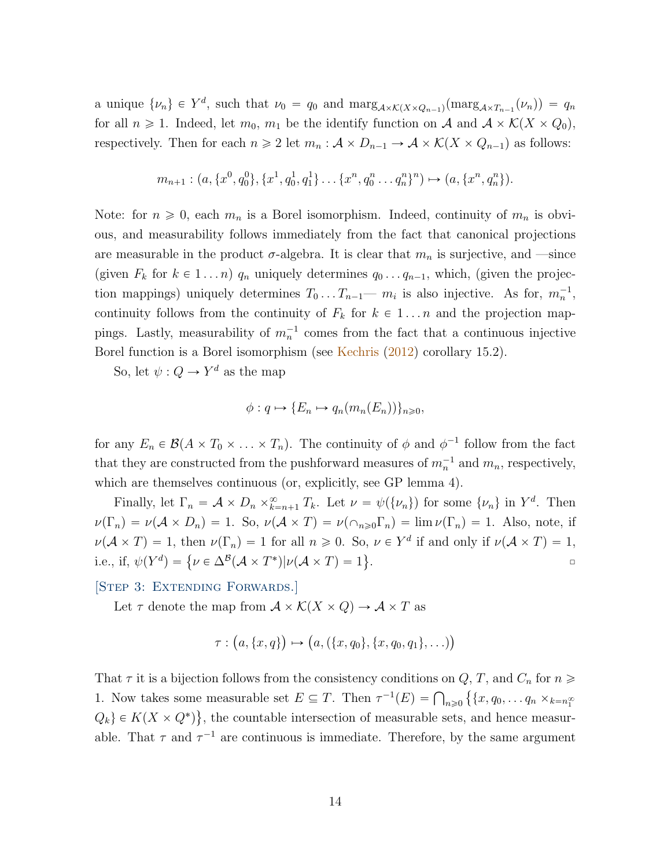a unique  $\{\nu_n\} \in Y^d$ , such that  $\nu_0 = q_0$  and  $\max_{\mathcal{A} \times \mathcal{K}(X \times Q_{n-1})}(\max_{\mathcal{A} \times T_{n-1}}(\nu_n)) = q_n$ for all  $n \geq 1$ . Indeed, let  $m_0$ ,  $m_1$  be the identify function on A and  $A \times K(X \times Q_0)$ , respectively. Then for each  $n \geq 2$  let  $m_n : A \times D_{n-1} \to A \times \mathcal{K}(X \times Q_{n-1})$  as follows:

$$
m_{n+1}:(a,\{x^0,q_0^0\},\{x^1,q_0^1,q_1^1\}\ldots\{x^n,q_0^n\ldots q_n^n\}^n)\mapsto (a,\{x^n,q_n^n\}).
$$

Note: for  $n \geq 0$ , each  $m_n$  is a Borel isomorphism. Indeed, continuity of  $m_n$  is obvious, and measurability follows immediately from the fact that canonical projections are measurable in the product  $\sigma$ -algebra. It is clear that  $m_n$  is surjective, and —since (given  $F_k$  for  $k \in 1 ... n$ )  $q_n$  uniquely determines  $q_0 ... q_{n-1}$ , which, (given the projection mappings) uniquely determines  $T_0 \ldots T_{n-1}$  m<sub>i</sub> is also injective. As for,  $m_n^{-1}$ , continuity follows from the continuity of  $F_k$  for  $k \in 1 \ldots n$  and the projection mappings. Lastly, measurability of  $m<sub>n</sub><sup>-1</sup>$  comes from the fact that a continuous injective Borel function is a Borel isomorphism (see [Kechris](#page-21-11) [\(2012\)](#page-21-11) corollary 15.2).

So, let  $\psi: Q \to Y^d$  as the map

$$
\phi: q \mapsto \{E_n \mapsto q_n(m_n(E_n))\}_{n \geq 0},
$$

for any  $E_n \in \mathcal{B}(A \times T_0 \times \ldots \times T_n)$ . The continuity of  $\phi$  and  $\phi^{-1}$  follow from the fact that they are constructed from the pushforward measures of  $m_n^{-1}$  and  $m_n$ , respectively, which are themselves continuous (or, explicitly, see GP lemma 4).

Finally, let  $\Gamma_n = \mathcal{A} \times D_n \times_{k=n+1}^{\infty} T_k$ . Let  $\nu = \psi(\{\nu_n\})$  for some  $\{\nu_n\}$  in  $Y^d$ . Then  $\nu(\Gamma_n) = \nu(\mathcal{A} \times D_n) = 1$ . So,  $\nu(\mathcal{A} \times T) = \nu(\cap_{n \geq 0} \Gamma_n) = \lim \nu(\Gamma_n) = 1$ . Also, note, if  $\nu(\mathcal{A} \times T) = 1$ , then  $\nu(\Gamma_n) = 1$  for all  $n \geq 0$ . So,  $\nu \in Y^d$  if and only if  $\nu(\mathcal{A} \times T) = 1$ ,  $\nu(\mathcal{A} \times I) = 1$ , then  $\nu(\Gamma_n) = 1$  for an  $n \ge 0$ . So<br>i.e., if,  $\psi(Y^d) = {\nu \in \Delta^{\mathcal{B}}(\mathcal{A} \times T^*) | \nu(\mathcal{A} \times T) = 1}$  $\Box$ 

<span id="page-13-0"></span>[STEP 3: EXTENDING FORWARDS.]

Let  $\tau$  denote the map from  $\mathcal{A} \times \mathcal{K}(X \times Q) \to \mathcal{A} \times T$  as

$$
\tau : (a, \{x, q\}) \mapsto (a, (\{x, q_0\}, \{x, q_0, q_1\}, \ldots))
$$

That  $\tau$  it is a bijection follows from the consistency conditions on  $Q, T$ , and  $C_n$  for  $n \geq$ 1. Now takes some measurable set  $E \subseteq T$ . Then  $\tau^{-1}(E) = \bigcap_{n \geq 0} \left\{ \{x, q_0, \ldots q_n \times_{k=n_1^{\infty}} \right\}$  $Q_k$   $\in K(X \times Q^*)$ , the countable intersection of measurable sets, and hence measurable. That  $\tau$  and  $\tau^{-1}$  are continuous is immediate. Therefore, by the same argument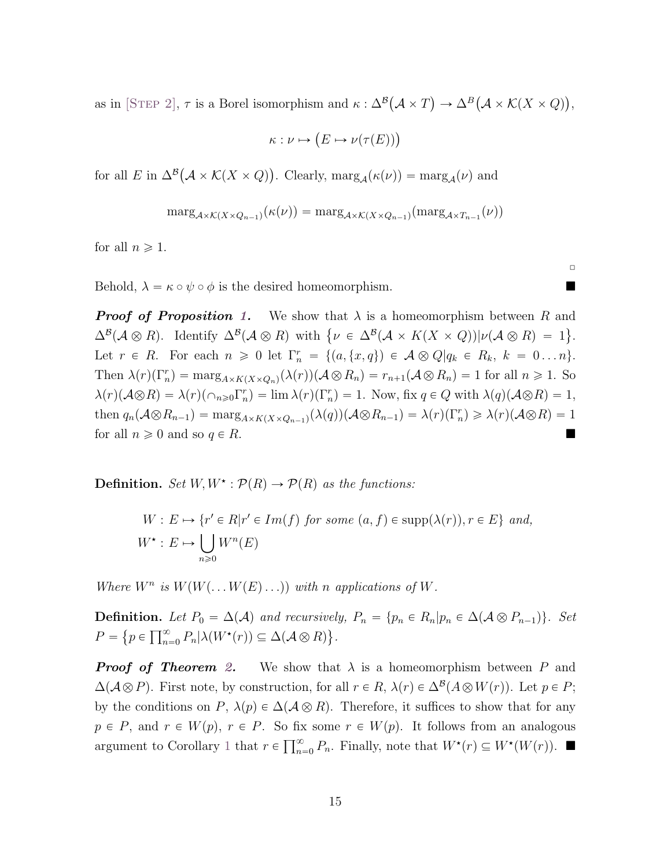as in [STEP [2\]](#page-12-1),  $\tau$  is a Borel isomorphism and  $\kappa : \Delta^{\mathcal{B}}$  $\mathcal{A} \times T$  $\rightarrow \Delta^B$  $\mathcal{A} \times \mathcal{K}(X \times Q)$ ,

$$
\kappa : \nu \mapsto (E \mapsto \nu(\tau(E)))
$$

for all E in  $\Delta^{\mathcal{B}}(\mathcal{A} \times \mathcal{K}(X \times Q))$ . Clearly,  $\text{marg}_{\mathcal{A}}(\kappa(\nu)) = \text{marg}_{\mathcal{A}}(\nu)$  and

<span id="page-14-0"></span>
$$
\mathrm{marg}_{\mathcal{A}\times\mathcal{K}(X\times Q_{n-1})}(\kappa(\nu)) = \mathrm{marg}_{\mathcal{A}\times\mathcal{K}(X\times Q_{n-1})}(\mathrm{marg}_{\mathcal{A}\times T_{n-1}}(\nu))
$$

for all  $n \geqslant 1$ .

Behold,  $\lambda = \kappa \circ \psi \circ \phi$  is the desired homeomorphism.

**Proof of Proposition [1.](#page-3-2)** We show that  $\lambda$  is a homeomorphism between R and **Proof of Proposition 1.** We show that  $\lambda$  is a nomeomorphism between R and  $\Delta^B(\mathcal{A}\otimes R)$ . Identify  $\Delta^B(\mathcal{A}\otimes R)$  with  $\{\nu \in \Delta^B(\mathcal{A} \times K(X \times Q)) | \nu(\mathcal{A}\otimes R) = 1 \}$ . Let  $r \in R$ . For each  $n \geq 0$  let  $\Gamma_n^r = \{(a, \{x, q\}) \in A \otimes Q | q_k \in R_k, k = 0 \dots n\}.$ Then  $\lambda(r)(\Gamma_n^r) = \max_{A \times K(X \times Q_n)} (\lambda(r)) (\mathcal{A} \otimes R_n) = r_{n+1}(\mathcal{A} \otimes R_n) = 1$  for all  $n \geq 1$ . So  $\lambda(r)(\mathcal{A}\otimes R) = \lambda(r)(\cap_{n\geq 0}\Gamma_n^r) = \lim_{n\to\infty}\lambda(r)(\Gamma_n^r) = 1.$  Now, fix  $q \in Q$  with  $\lambda(q)(\mathcal{A}\otimes R) = 1$ , then  $q_n(\mathcal{A}\otimes R_{n-1}) = \max_{A\times K(X\times Q_{n-1})} (\lambda(q))(\mathcal{A}\otimes R_{n-1}) = \lambda(r)(\Gamma_n^r) \geq \lambda(r)(\mathcal{A}\otimes R) = 1$ for all  $n \geqslant 0$  and so  $q \in R$ .

**Definition.** Set  $W, W^{\star} : \mathcal{P}(R) \to \mathcal{P}(R)$  as the functions:

$$
W: E \mapsto \{r' \in R | r' \in Im(f) \text{ for some } (a, f) \in \text{supp}(\lambda(r)), r \in E\} \text{ and,}
$$
  

$$
W^*: E \mapsto \bigcup_{n \geq 0} W^n(E)
$$

Where  $W^n$  is  $W(W(\ldots W(E) \ldots))$  with n applications of W.

**Definition.** Let  $P_0 = \Delta(\mathcal{A})$  and recursively,  $P_n = \{p_n \in R_n | p_n \in \Delta(\mathcal{A} \otimes P_{n-1})\}$ . Set  $P = \big\{ p \in \prod_{n=1}^\infty \big\}$  $\sum_{n=0}^{\infty} P_n |\lambda(W^*(r)) \subseteq \Delta(\mathcal{A} \otimes R) \big\}.$ 

<span id="page-14-2"></span><span id="page-14-1"></span>**Proof of Theorem [2.](#page-3-0)** We show that  $\lambda$  is a homeomorphism between P and  $\Delta(A\otimes P)$ . First note, by construction, for all  $r \in R$ ,  $\lambda(r) \in \Delta^{B}(A\otimes W(r))$ . Let  $p \in P$ ; by the conditions on P,  $\lambda(p) \in \Delta(\mathcal{A} \otimes R)$ . Therefore, it suffices to show that for any  $p \in P$ , and  $r \in W(p)$ ,  $r \in P$ . So fix some  $r \in W(p)$ . It follows from an analogous  $p \in I$ , and  $i \in W(p)$ ,  $i \in I$ . So its<br>argument to Corollary [1](#page-3-2) that  $r \in \prod_{n=1}^{\infty}$  $_{n=0}^{\infty} P_n$ . Finally, note that  $W^*(r) \subseteq W^*(W(r))$ .

 $\Box$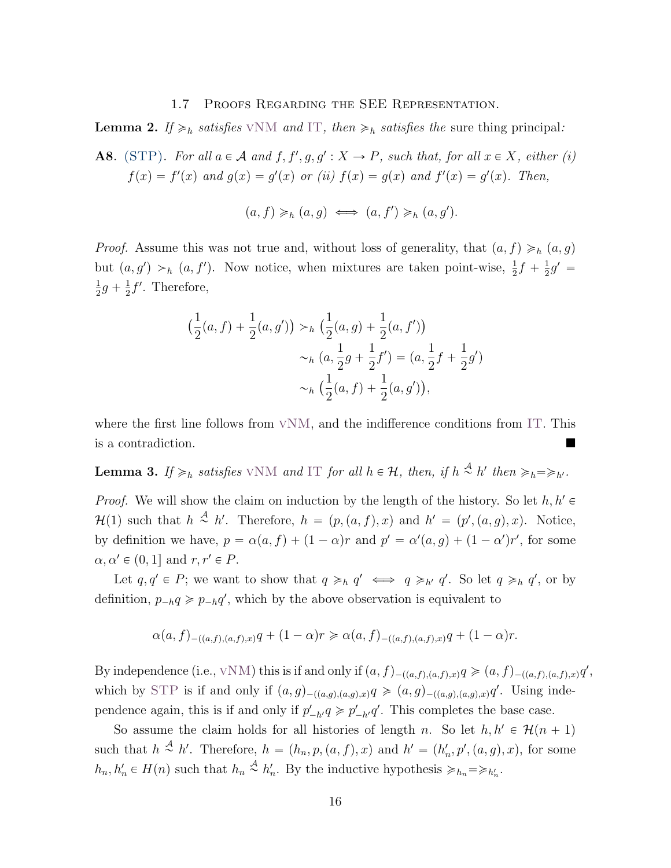#### 1.7 Proofs Regarding the SEE Representation.

**Lemma 2.** If  $\geq_h$  satisfies VNM and [IT](#page-6-1), then  $\geq_h$  satisfies the sure thing principal:

<span id="page-15-1"></span>**A8.** (STP). For all  $a \in \mathcal{A}$  and  $f, f', g, g' : X \to P$ , such that, for all  $x \in X$ , either (i)  $f(x) = f'(x)$  and  $g(x) = g'(x)$  or (ii)  $f(x) = g(x)$  and  $f'(x) = g'(x)$ . Then,

$$
(a, f) \geq_h (a, g) \iff (a, f') \geq_h (a, g').
$$

*Proof.* Assume this was not true and, without loss of generality, that  $(a, f) \geq h$   $(a, g)$ but  $(a, g') >_h (a, f')$ . Now notice, when mixtures are taken point-wise,  $\frac{1}{2}f + \frac{1}{2}$  $\frac{1}{2}g' =$ 1  $\frac{1}{2}g + \frac{1}{2}$  $\frac{1}{2}f'$ . Therefore,

$$
\left(\frac{1}{2}(a,f) + \frac{1}{2}(a,g')\right) >_h \left(\frac{1}{2}(a,g) + \frac{1}{2}(a,f')\right) \\
&>_h \left(a,\frac{1}{2}g + \frac{1}{2}f'\right) = \left(a,\frac{1}{2}f + \frac{1}{2}g'\right) \\
&>_h \left(\frac{1}{2}(a,f) + \frac{1}{2}(a,g')\right),
$$

where the first line follows from  $VNM$ , and the indifference conditions from [IT](#page-6-1). This is a contradiction.

<span id="page-15-0"></span>**Lemma 3.** If  $\geq_h$  satisfies VNM and [IT](#page-6-1) for all  $h \in \mathcal{H}$ , then, if  $h \stackrel{\mathcal{A}}{\sim} h'$  then  $\geq_h \geq_{h'}$ .

*Proof.* We will show the claim on induction by the length of the history. So let  $h, h' \in$  $\mathcal{H}(1)$  such that  $h \stackrel{\mathcal{A}}{\sim} h'$ . Therefore,  $h = (p,(a, f), x)$  and  $h' = (p', (a, g), x)$ . Notice, by definition we have,  $p = \alpha(a, f) + (1 - \alpha)r$  and  $p' = \alpha'(a, g) + (1 - \alpha')r'$ , for some  $\alpha, \alpha' \in (0, 1]$  and  $r, r' \in P$ .

Let  $q, q' \in P$ ; we want to show that  $q \geq_h q' \iff q \geq_h q'$ . So let  $q \geq_h q'$ , or by definition,  $p_{-h}q \geq p_{-h}q'$ , which by the above observation is equivalent to

$$
\alpha(a,f)_{-((a,f),(a,f),x)}q + (1-\alpha)r \geq \alpha(a,f)_{-((a,f),(a,f),x)}q + (1-\alpha)r.
$$

By independence (i.e.,  $vNM$ ) this is if and only if  $(a, f)_{-(a,f),(a,f),x}$ ,  $q \geq (a, f)_{-(a,f),(a,f),x}q'$ , which by [STP](#page-15-1) is if and only if  $(a, g)_{-(a, g), (a, g), x}$ ,  $q \geq (a, g)_{-(a, g), (a, g), x}$ , Using independence again, this is if and only if  $p'_{-h'}q \geq p'_{-h'}q'$ . This completes the base case.

So assume the claim holds for all histories of length n. So let  $h, h' \in \mathcal{H}(n + 1)$ such that  $h \stackrel{A}{\sim} h'$ . Therefore,  $h = (h_n, p, (a, f), x)$  and  $h' = (h'_n, p', (a, g), x)$ , for some  $h_n, h'_n \in H(n)$  such that  $h_n \stackrel{A}{\sim} h'_n$ . By the inductive hypothesis  $\geq h_n = \geq h'_n$ .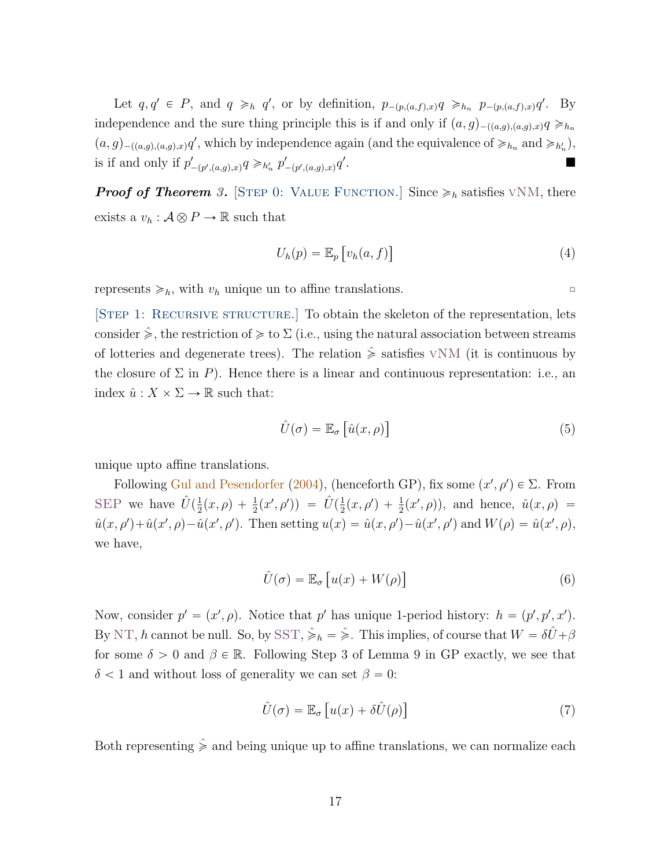Let  $q, q' \in P$ , and  $q \geq_h q'$ , or by definition,  $p_{-(p,(a,f),x)}q \geq_{h_n} p_{-(p,(a,f),x)}q'$ . By independence and the sure thing principle this is if and only if  $(a, g)_{-((a,g),(a,g),x)} q \geq h_n$  $(a,g)_{-((a,g),(a,g),x)}q'$ , which by independence again (and the equivalence of  $\geq_{h_n}$  and  $\geq_{h'_n}$ ), is if and only if  $p'_{-(p', (a,g), x)}q \geq h'_n p'_{-(p', (a,g), x)}q'$ .

**Proof of Theorem [3.](#page-8-0)** [STEP 0: VALUE FUNCTION.] Since  $\geq_h$  satisfies VNM, there exists a  $v_h : \mathcal{A} \otimes P \to \mathbb{R}$  such that

<span id="page-16-2"></span><span id="page-16-0"></span>
$$
U_h(p) = \mathbb{E}_p \left[ v_h(a, f) \right] \tag{4}
$$

represents  $\geq h$ , with  $v_h$  unique un to affine translations.

[STEP 1: RECURSIVE STRUCTURE.] To obtain the skeleton of the representation, lets consider  $\hat{\ge}$ , the restriction of  $\geq$  to  $\Sigma$  (i.e., using the natural association between streams of lotteries and degenerate trees). The relation  $\hat{\ge}$  satisfies VNM (it is continuous by the closure of  $\Sigma$  in P). Hence there is a linear and continuous representation: i.e., an index  $\hat{u}: X \times \Sigma \to \mathbb{R}$  such that:

$$
\hat{U}(\sigma) = \mathbb{E}_{\sigma} \left[ \hat{u}(x, \rho) \right]
$$
\n(5)

unique upto affine translations.

Following [Gul and Pesendorfer](#page-21-12) [\(2004\)](#page-21-12), (henceforth GP), fix some  $(x', \rho') \in \Sigma$ . From [SEP](#page-6-0) we have  $\hat{U}(\frac{1}{2})$  $\frac{1}{2}(x,\rho) + \frac{1}{2}(x',\rho')) = \hat{U}(\frac{1}{2})$  $\frac{1}{2}(x, \rho') + \frac{1}{2}(x', \rho)$ , and hence,  $\hat{u}(x, \rho) =$  $\hat{u}(x,\rho') + \hat{u}(x',\rho) - \hat{u}(x',\rho')$ . Then setting  $u(x) = \hat{u}(x,\rho') - \hat{u}(x',\rho')$  and  $W(\rho) = \hat{u}(x',\rho)$ , we have,

$$
\hat{U}(\sigma) = \mathbb{E}_{\sigma} \left[ u(x) + W(\rho) \right] \tag{6}
$$

Now, consider  $p' = (x', \rho)$ . Notice that p' has unique 1-period history:  $h = (p', p', x')$ . By [NT](#page-5-2), h cannot be null. So, by [SST](#page-5-3),  $\hat{\geq}_h = \hat{\geq}$ . This implies, of course that  $W = \delta \hat{U} + \beta$ for some  $\delta > 0$  and  $\beta \in \mathbb{R}$ . Following Step 3 of Lemma 9 in GP exactly, we see that  $\delta$  < 1 and without loss of generality we can set  $\beta = 0$ :

<span id="page-16-1"></span>
$$
\hat{U}(\sigma) = \mathbb{E}_{\sigma} \left[ u(x) + \delta \hat{U}(\rho) \right] \tag{7}
$$

Both representing  $\hat{\ge}$  and being unique up to affine translations, we can normalize each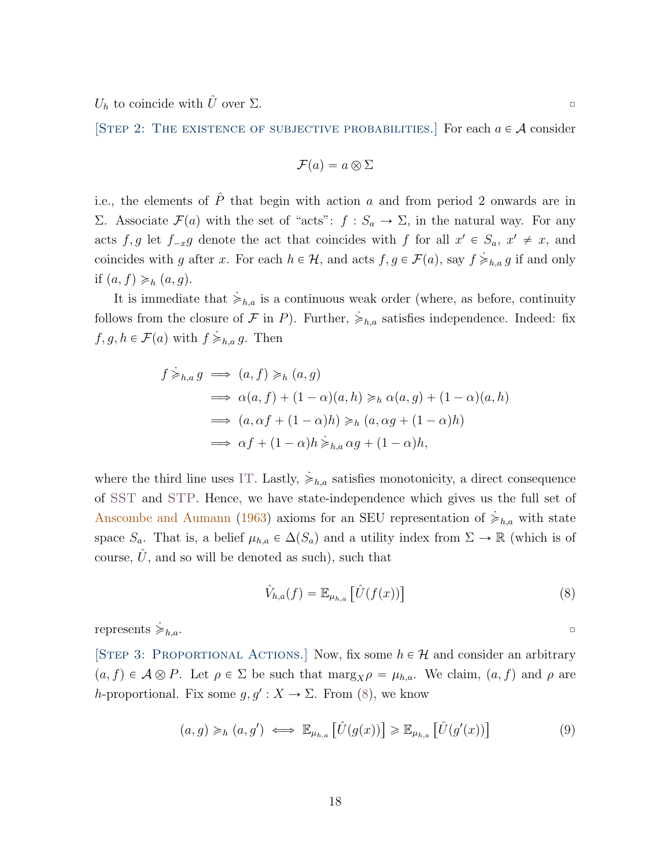$U_h$  to coincide with  $\hat{U}$  over  $\Sigma$ .

[STEP 2: THE EXISTENCE OF SUBJECTIVE PROBABILITIES.] For each  $a \in \mathcal{A}$  consider

$$
\mathcal{F}(a) = a \otimes \Sigma
$$

i.e., the elements of  $\hat{P}$  that begin with action a and from period 2 onwards are in Σ. Associate  $\mathcal{F}(a)$  with the set of "acts":  $f : S_a → Σ$ , in the natural way. For any acts  $f, g$  let  $f_{-x}g$  denote the act that coincides with f for all  $x' \in S_a$ ,  $x' \neq x$ , and coincides with g after x. For each  $h \in \mathcal{H}$ , and acts  $f, g \in \mathcal{F}(a)$ , say  $f \geq_{h,a} g$  if and only if  $(a, f) \geq h$   $(a, g)$ .

It is immediate that  $\dot{\geq}_{h,a}$  is a continuous weak order (where, as before, continuity follows from the closure of F in P). Further,  $\dot{\geq}_{h,a}$  satisfies independence. Indeed: fix  $f, g, h \in \mathcal{F}(a)$  with  $f \geq h,a \, g$ . Then

$$
f \geq_{h,a} g \implies (a, f) \geq_h (a, g)
$$
  
\n
$$
\implies \alpha(a, f) + (1 - \alpha)(a, h) \geq_h \alpha(a, g) + (1 - \alpha)(a, h)
$$
  
\n
$$
\implies (a, \alpha f + (1 - \alpha)h) \geq_h (a, \alpha g + (1 - \alpha)h)
$$
  
\n
$$
\implies \alpha f + (1 - \alpha)h \geq_{h,a} \alpha g + (1 - \alpha)h,
$$

where the third line uses [IT](#page-6-1). Lastly,  $\geq_{h,a}$  satisfies monotonicity, a direct consequence of [SST](#page-5-3) and [STP](#page-15-1). Hence, we have state-independence which gives us the full set of [Anscombe and Aumann](#page-21-0) [\(1963\)](#page-21-0) axioms for an SEU representation of  $\dot{\geq}_{h,a}$  with state space  $S_a$ . That is, a belief  $\mu_{h,a} \in \Delta(S_a)$  and a utility index from  $\Sigma \to \mathbb{R}$  (which is of course,  $\hat{U}$ , and so will be denoted as such), such that

$$
\hat{V}_{h,a}(f) = \mathbb{E}_{\mu_{h,a}} \left[ \hat{U}(f(x)) \right]
$$
\n(8)

represents  $\geq_{h,a}$ .

[STEP 3: PROPORTIONAL ACTIONS.] Now, fix some  $h \in \mathcal{H}$  and consider an arbitrary  $(a, f) \in \mathcal{A} \otimes P$ . Let  $\rho \in \Sigma$  be such that  $\max_{\mathbf{\mathcal{B}}} p = \mu_{h,a}$ . We claim,  $(a, f)$  and  $\rho$  are h-proportional. Fix some  $g, g': X \to \Sigma$ . From [\(8\)](#page-17-0), we know

$$
(a,g) \geq_h (a,g') \iff \mathbb{E}_{\mu_{h,a}} \left[ \hat{U}(g(x)) \right] \geq \mathbb{E}_{\mu_{h,a}} \left[ \hat{U}(g'(x)) \right] \tag{9}
$$

<span id="page-17-1"></span><span id="page-17-0"></span>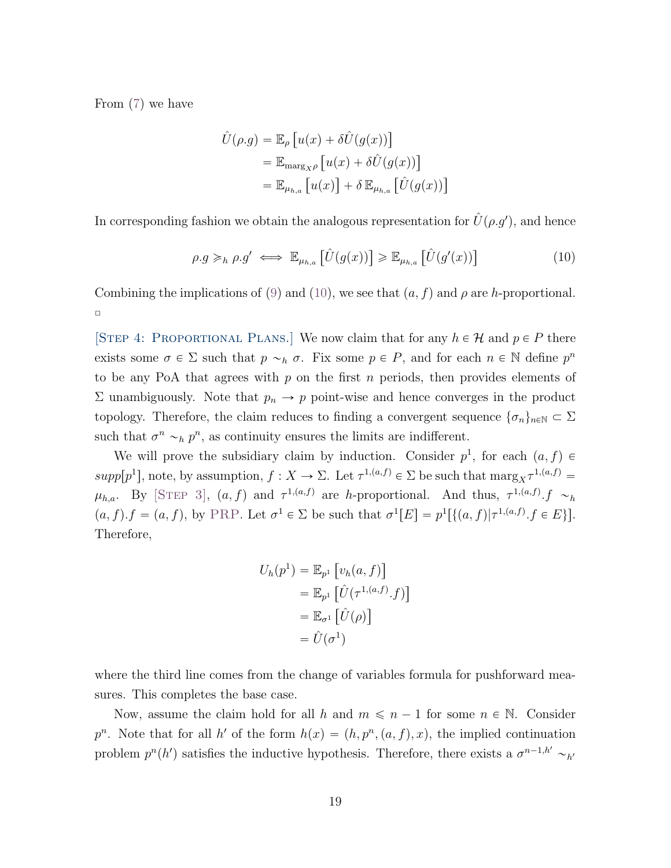From [\(7\)](#page-16-1) we have

<span id="page-18-0"></span>
$$
\hat{U}(\rho.g) = \mathbb{E}_{\rho} [u(x) + \delta \hat{U}(g(x))]
$$
  
=  $\mathbb{E}_{\max g_{X}\rho} [u(x) + \delta \hat{U}(g(x))]$   
=  $\mathbb{E}_{\mu_{h,a}} [u(x)] + \delta \mathbb{E}_{\mu_{h,a}} [\hat{U}(g(x))]$ 

In corresponding fashion we obtain the analogous representation for  $\hat{U}(\rho.g'),$  and hence

$$
\rho.g \geq_h \rho.g' \iff \mathbb{E}_{\mu_{h,a}}\left[\hat{U}(g(x))\right] \geq \mathbb{E}_{\mu_{h,a}}\left[\hat{U}(g'(x))\right]
$$
\n(10)

Combining the implications of [\(9\)](#page-17-1) and [\(10\)](#page-18-0), we see that  $(a, f)$  and  $\rho$  are h-proportional.  $\Box$ 

<span id="page-18-1"></span>[STEP 4: PROPORTIONAL PLANS.] We now claim that for any  $h \in \mathcal{H}$  and  $p \in P$  there exists some  $\sigma \in \Sigma$  such that  $p \sim_h \sigma$ . Fix some  $p \in P$ , and for each  $n \in \mathbb{N}$  define  $p^n$ to be any PoA that agrees with  $p$  on the first  $n$  periods, then provides elements of  $\Sigma$  unambiguously. Note that  $p_n \to p$  point-wise and hence converges in the product topology. Therefore, the claim reduces to finding a convergent sequence  $\{\sigma_n\}_{n\in\mathbb{N}}\subset\Sigma$ such that  $\sigma^n \sim_h p^n$ , as continuity ensures the limits are indifferent.

We will prove the subsidiary claim by induction. Consider  $p^1$ , for each  $(a, f) \in$  $supp[p^1]$ , note, by assumption,  $f: X \to \Sigma$ . Let  $\tau^{1,(a,f)} \in \Sigma$  be such that  $\max g_X \tau^{1,(a,f)} =$  $\mu_{h,a}$ . By [STEP [3\]](#page-13-0),  $(a, f)$  and  $\tau^{1,(a,f)}$  are h-proportional. And thus,  $\tau^{1,(a,f)}$ .  $f \sim_h$  $(a, f). f = (a, f),$  by [PRP](#page-7-2). Let  $\sigma^1 \in \Sigma$  be such that  $\sigma^1[E] = p^1[\{(a, f) | \tau^{1, (a, f)}. f \in E\}].$ Therefore,

$$
U_h(p^1) = \mathbb{E}_{p^1} [v_h(a, f)]
$$
  
=  $\mathbb{E}_{p^1} [\hat{U}(\tau^{1,(a,f)}.f)]$   
=  $\mathbb{E}_{\sigma^1} [\hat{U}(\rho)]$   
=  $\hat{U}(\sigma^1)$ 

where the third line comes from the change of variables formula for pushforward measures. This completes the base case.

Now, assume the claim hold for all h and  $m \leq n - 1$  for some  $n \in \mathbb{N}$ . Consider  $p^n$ . Note that for all h' of the form  $h(x) = (h, p^n, (a, f), x)$ , the implied continuation problem  $p^{n}(h')$  satisfies the inductive hypothesis. Therefore, there exists a  $\sigma^{n-1,h'} \sim_{h'}$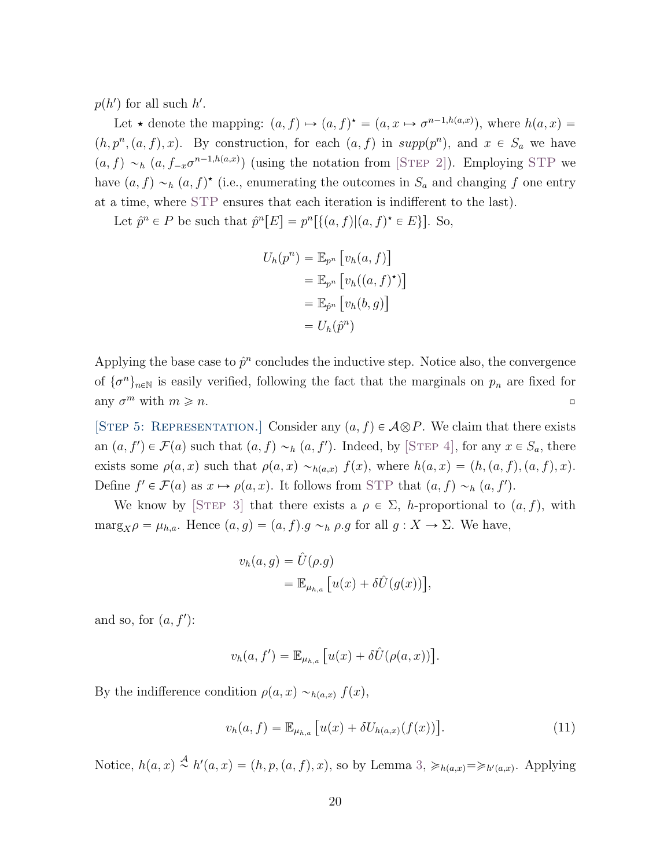$p(h')$  for all such  $h'$ .

Let  $\star$  denote the mapping:  $(a, f) \mapsto (a, f)^{\star} = (a, x \mapsto \sigma^{n-1,h(a,x)})$ , where  $h(a, x) =$  $(h, p^n, (a, f), x)$ . By construction, for each  $(a, f)$  in supp $(p^n)$ , and  $x \in S_a$  we have  $(a, f) \sim_h (a, f_{-x}\sigma^{n-1,h(a,x)})$  (using the notation from [STEP [2\]](#page-12-1)). Employing [STP](#page-15-1) we have  $(a, f) \sim_h (a, f)^*$  (i.e., enumerating the outcomes in  $S_a$  and changing f one entry at a time, where [STP](#page-15-1) ensures that each iteration is indifferent to the last).

Let  $\hat{p}^n \in P$  be such that  $\hat{p}^n[E] = p^n[\{(a, f) | (a, f)^* \in E\}].$  So,

$$
U_h(p^n) = \mathbb{E}_{p^n} [v_h(a, f)]
$$
  
=  $\mathbb{E}_{p^n} [v_h((a, f)^*)]$   
=  $\mathbb{E}_{\hat{p}^n} [v_h(b, g)]$   
=  $U_h(\hat{p}^n)$ 

Applying the base case to  $\hat{p}^n$  concludes the inductive step. Notice also, the convergence of  $\{\sigma^n\}_{n\in\mathbb{N}}$  is easily verified, following the fact that the marginals on  $p_n$  are fixed for any  $\sigma^m$  with  $m \geqslant n$ .

[STEP 5: REPRESENTATION.] Consider any  $(a, f) \in \mathcal{A} \otimes P$ . We claim that there exists an  $(a, f') \in \mathcal{F}(a)$  such that  $(a, f) \sim_h (a, f')$ . Indeed, by [STEP [4\]](#page-18-1), for any  $x \in S_a$ , there exists some  $\rho(a, x)$  such that  $\rho(a, x) \sim_{h(a, x)} f(x)$ , where  $h(a, x) = (h, (a, f), (a, f), x)$ . Define  $f' \in \mathcal{F}(a)$  as  $x \mapsto \rho(a, x)$ . It follows from [STP](#page-15-1) that  $(a, f) \sim_h (a, f')$ .

We know by [STEP [3\]](#page-13-0) that there exists a  $\rho \in \Sigma$ , h-proportional to  $(a, f)$ , with  $\text{marg}_X \rho = \mu_{h,a}.$  Hence  $(a, g) = (a, f).g \sim_h \rho.g$  for all  $g : X \to \Sigma.$  We have,

$$
v_h(a,g) = \hat{U}(\rho.g)
$$
  
=  $\mathbb{E}_{\mu_{h,a}}[u(x) + \delta \hat{U}(g(x))],$ 

and so, for  $(a, f')$ :

$$
v_h(a, f') = \mathbb{E}_{\mu_{h,a}} \left[ u(x) + \delta \hat{U}(\rho(a, x)) \right].
$$

By the indifference condition  $\rho(a, x) \sim_{h(a, x)} f(x)$ ,

<span id="page-19-0"></span>
$$
v_h(a, f) = \mathbb{E}_{\mu_{h,a}} [u(x) + \delta U_{h(a,x)}(f(x))].
$$
\n(11)

Notice,  $h(a, x) \stackrel{\mathcal{A}}{\sim} h'(a, x) = (h, p, (a, f), x)$ , so by Lemma [3,](#page-15-0)  $\geq h(a, x) = \geq h'(a, x)$ . Applying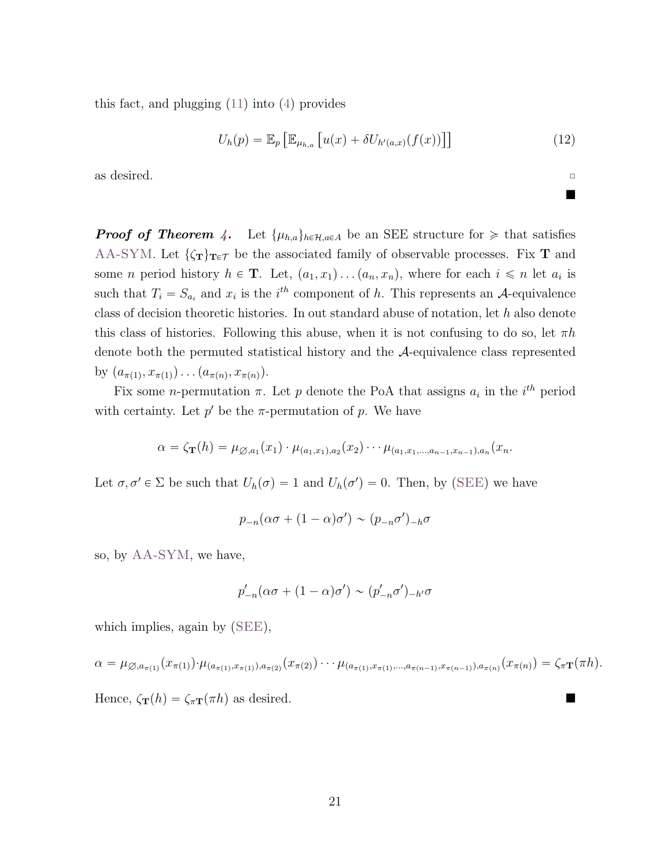this fact, and plugging [\(11\)](#page-19-0) into [\(4\)](#page-16-2) provides

<span id="page-20-0"></span>
$$
U_h(p) = \mathbb{E}_p \left[ \mathbb{E}_{\mu_{h,a}} \left[ u(x) + \delta U_{h'(a,x)}(f(x)) \right] \right]
$$
\n(12)

as desired.  $\Box$ 

**Proof of Theorem [4.](#page-9-1)** Let  $\{\mu_{h,a}\}_{h\in\mathcal{H},a\in A}$  be an SEE structure for  $\geq$  that satisfies [AA-SYM](#page-9-0). Let  $\{\zeta_T\}_{T \in \mathcal{T}}$  be the associated family of observable processes. Fix T and some *n* period history  $h \in \mathbf{T}$ . Let,  $(a_1, x_1) \dots (a_n, x_n)$ , where for each  $i \leq n$  let  $a_i$  is such that  $T_i = S_{a_i}$  and  $x_i$  is the  $i^{th}$  component of h. This represents an A-equivalence class of decision theoretic histories. In out standard abuse of notation, let h also denote this class of histories. Following this abuse, when it is not confusing to do so, let  $\pi h$ denote both the permuted statistical history and the A-equivalence class represented by  $(a_{\pi(1)}, x_{\pi(1)}) \dots (a_{\pi(n)}, x_{\pi(n)})$ .

Fix some *n*-permutation  $\pi$ . Let *p* denote the PoA that assigns  $a_i$  in the  $i^{th}$  period with certainty. Let  $p'$  be the  $\pi$ -permutation of p. We have

$$
\alpha = \zeta_{\mathbf{T}}(h) = \mu_{\emptyset, a_1}(x_1) \cdot \mu_{(a_1, x_1), a_2}(x_2) \cdots \mu_{(a_1, x_1, \ldots, a_{n-1}, x_{n-1}), a_n}(x_n).
$$

Let  $\sigma, \sigma' \in \Sigma$  be such that  $U_h(\sigma) = 1$  and  $U_h(\sigma') = 0$ . Then, by ([SEE](#page-8-2)) we have

$$
p_{-n}(\alpha \sigma + (1 - \alpha)\sigma') \sim (p_{-n}\sigma')_{-h}\sigma
$$

so, by [AA-SYM](#page-9-0), we have,

$$
p'_{-n}(\alpha\sigma + (1-\alpha)\sigma') \sim (p'_{-n}\sigma')_{-h'}\sigma
$$

which implies, again by  $(SEE)$  $(SEE)$  $(SEE)$ ,

$$
\alpha = \mu_{\emptyset,a_{\pi(1)}}(x_{\pi(1)})\cdot \mu_{(a_{\pi(1)},x_{\pi(1)}),a_{\pi(2)}}(x_{\pi(2)})\cdots \mu_{(a_{\pi(1)},x_{\pi(1)},...,a_{\pi(n-1)},x_{\pi(n-1)}),a_{\pi(n)}}(x_{\pi(n)}) = \zeta_{\pi}\mathbf{T}(\pi h).
$$

Hence,  $\zeta_{\mathbf{T}}(h) = \zeta_{\pi \mathbf{T}}(\pi h)$  as desired.

 $\blacksquare$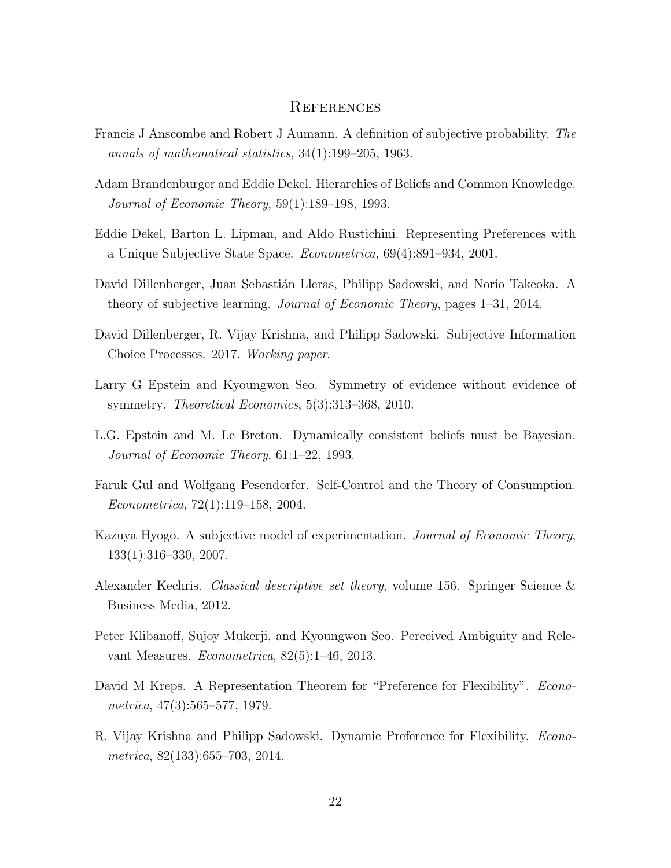## **REFERENCES**

- <span id="page-21-0"></span>Francis J Anscombe and Robert J Aumann. A definition of subjective probability. The annals of mathematical statistics, 34(1):199–205, 1963.
- <span id="page-21-10"></span>Adam Brandenburger and Eddie Dekel. Hierarchies of Beliefs and Common Knowledge. Journal of Economic Theory, 59(1):189–198, 1993.
- <span id="page-21-5"></span>Eddie Dekel, Barton L. Lipman, and Aldo Rustichini. Representing Preferences with a Unique Subjective State Space. Econometrica, 69(4):891–934, 2001.
- <span id="page-21-6"></span>David Dillenberger, Juan Sebastián Lleras, Philipp Sadowski, and Norio Takeoka. A theory of subjective learning. Journal of Economic Theory, pages 1–31, 2014.
- <span id="page-21-9"></span>David Dillenberger, R. Vijay Krishna, and Philipp Sadowski. Subjective Information Choice Processes. 2017. Working paper.
- <span id="page-21-2"></span>Larry G Epstein and Kyoungwon Seo. Symmetry of evidence without evidence of symmetry. Theoretical Economics, 5(3):313–368, 2010.
- <span id="page-21-1"></span>L.G. Epstein and M. Le Breton. Dynamically consistent beliefs must be Bayesian. Journal of Economic Theory, 61:1–22, 1993.
- <span id="page-21-12"></span>Faruk Gul and Wolfgang Pesendorfer. Self-Control and the Theory of Consumption. Econometrica, 72(1):119–158, 2004.
- <span id="page-21-8"></span>Kazuya Hyogo. A subjective model of experimentation. Journal of Economic Theory, 133(1):316–330, 2007.
- <span id="page-21-11"></span>Alexander Kechris. Classical descriptive set theory, volume 156. Springer Science & Business Media, 2012.
- <span id="page-21-3"></span>Peter Klibanoff, Sujoy Mukerji, and Kyoungwon Seo. Perceived Ambiguity and Relevant Measures. Econometrica, 82(5):1–46, 2013.
- <span id="page-21-4"></span>David M Kreps. A Representation Theorem for "Preference for Flexibility". Econometrica, 47(3):565–577, 1979.
- <span id="page-21-7"></span>R. Vijay Krishna and Philipp Sadowski. Dynamic Preference for Flexibility. Econometrica, 82(133):655–703, 2014.